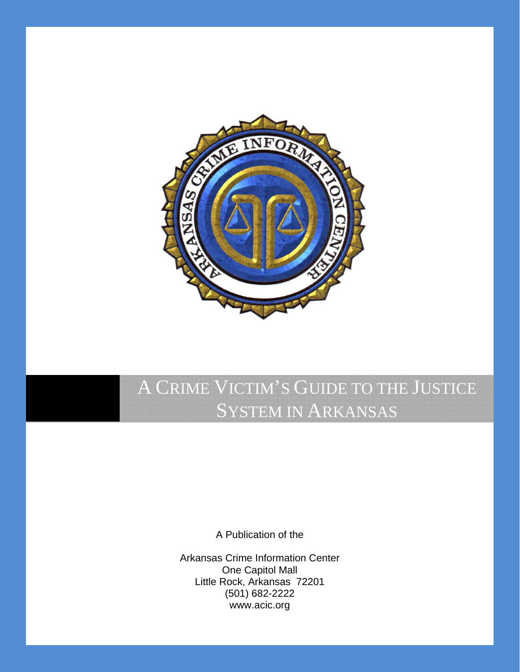

# A CRIME VICTIM'S GUIDE TO THE JUSTICE SYSTEM IN ARKANSAS

A Publication of the

Arkansas Crime Information Center One Capitol Mall Little Rock, Arkansas 72201 (501) 682-2222 www.acic.org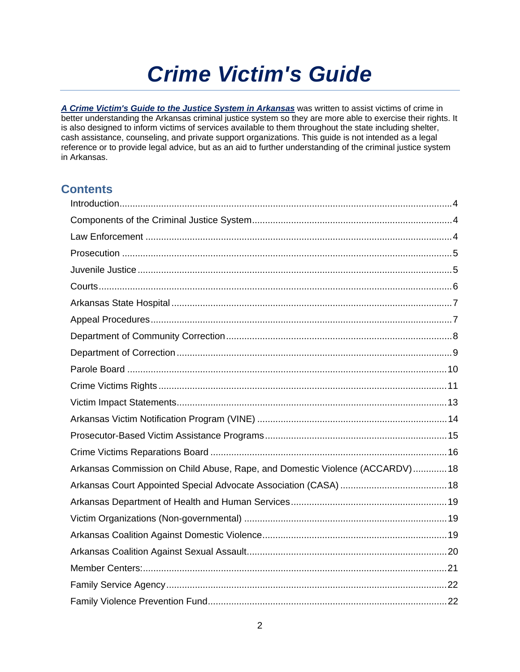# *Crime Victim's Guide*

*A Crime Victim's Guide to the Justice System in Arkansas* was written to assist victims of crime in better understanding the Arkansas criminal justice system so they are more able to exercise their rights. It is also designed to inform victims of services available to them throughout the state including shelter, cash assistance, counseling, and private support organizations. This guide is not intended as a legal reference or to provide legal advice, but as an aid to further understanding of the criminal justice system in Arkansas.

## **Contents**

| Arkansas Commission on Child Abuse, Rape, and Domestic Violence (ACCARDV)18 |  |
|-----------------------------------------------------------------------------|--|
|                                                                             |  |
|                                                                             |  |
|                                                                             |  |
|                                                                             |  |
|                                                                             |  |
|                                                                             |  |
|                                                                             |  |
|                                                                             |  |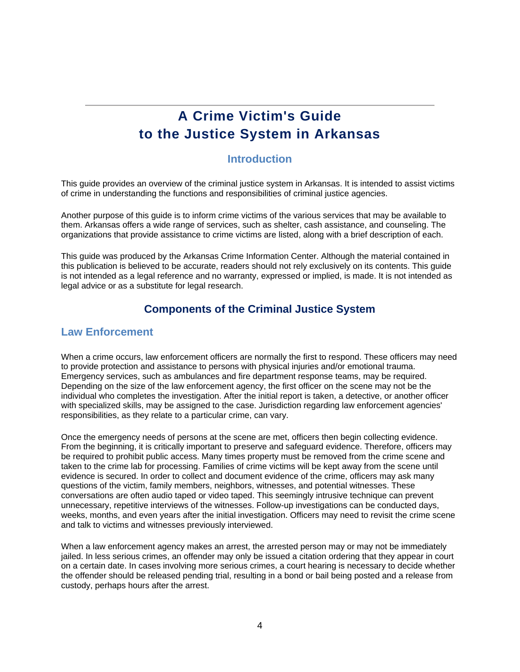# **A Crime Victim's Guide to the Justice System in Arkansas**

#### **Introduction**

This guide provides an overview of the criminal justice system in Arkansas. It is intended to assist victims of crime in understanding the functions and responsibilities of criminal justice agencies.

Another purpose of this guide is to inform crime victims of the various services that may be available to them. Arkansas offers a wide range of services, such as shelter, cash assistance, and counseling. The organizations that provide assistance to crime victims are listed, along with a brief description of each.

This guide was produced by the Arkansas Crime Information Center. Although the material contained in this publication is believed to be accurate, readers should not rely exclusively on its contents. This guide is not intended as a legal reference and no warranty, expressed or implied, is made. It is not intended as legal advice or as a substitute for legal research.

## **Components of the Criminal Justice System**

#### **Law Enforcement**

When a crime occurs, law enforcement officers are normally the first to respond. These officers may need to provide protection and assistance to persons with physical injuries and/or emotional trauma. Emergency services, such as ambulances and fire department response teams, may be required. Depending on the size of the law enforcement agency, the first officer on the scene may not be the individual who completes the investigation. After the initial report is taken, a detective, or another officer with specialized skills, may be assigned to the case. Jurisdiction regarding law enforcement agencies' responsibilities, as they relate to a particular crime, can vary.

Once the emergency needs of persons at the scene are met, officers then begin collecting evidence. From the beginning, it is critically important to preserve and safeguard evidence. Therefore, officers may be required to prohibit public access. Many times property must be removed from the crime scene and taken to the crime lab for processing. Families of crime victims will be kept away from the scene until evidence is secured. In order to collect and document evidence of the crime, officers may ask many questions of the victim, family members, neighbors, witnesses, and potential witnesses. These conversations are often audio taped or video taped. This seemingly intrusive technique can prevent unnecessary, repetitive interviews of the witnesses. Follow-up investigations can be conducted days, weeks, months, and even years after the initial investigation. Officers may need to revisit the crime scene and talk to victims and witnesses previously interviewed.

When a law enforcement agency makes an arrest, the arrested person may or may not be immediately jailed. In less serious crimes, an offender may only be issued a citation ordering that they appear in court on a certain date. In cases involving more serious crimes, a court hearing is necessary to decide whether the offender should be released pending trial, resulting in a bond or bail being posted and a release from custody, perhaps hours after the arrest.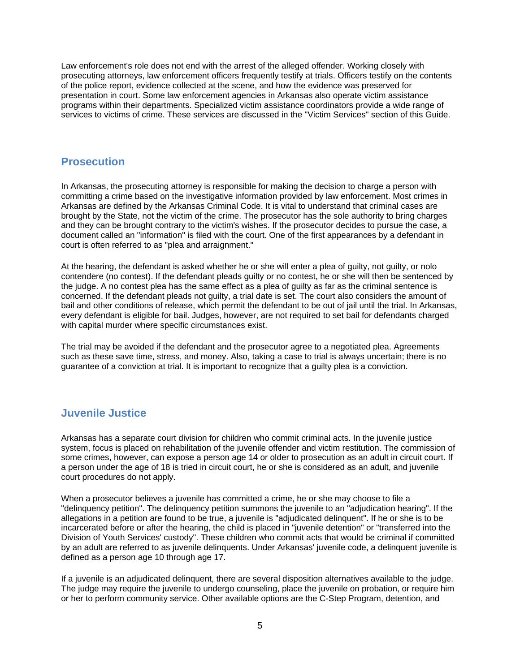Law enforcement's role does not end with the arrest of the alleged offender. Working closely with prosecuting attorneys, law enforcement officers frequently testify at trials. Officers testify on the contents of the police report, evidence collected at the scene, and how the evidence was preserved for presentation in court. Some law enforcement agencies in Arkansas also operate victim assistance programs within their departments. Specialized victim assistance coordinators provide a wide range of services to victims of crime. These services are discussed in the "Victim Services" section of this Guide.

### **Prosecution**

In Arkansas, the prosecuting attorney is responsible for making the decision to charge a person with committing a crime based on the investigative information provided by law enforcement. Most crimes in Arkansas are defined by the Arkansas Criminal Code. It is vital to understand that criminal cases are brought by the State, not the victim of the crime. The prosecutor has the sole authority to bring charges and they can be brought contrary to the victim's wishes. If the prosecutor decides to pursue the case, a document called an "information" is filed with the court. One of the first appearances by a defendant in court is often referred to as "plea and arraignment."

At the hearing, the defendant is asked whether he or she will enter a plea of guilty, not guilty, or nolo contendere (no contest). If the defendant pleads guilty or no contest, he or she will then be sentenced by the judge. A no contest plea has the same effect as a plea of guilty as far as the criminal sentence is concerned. If the defendant pleads not guilty, a trial date is set. The court also considers the amount of bail and other conditions of release, which permit the defendant to be out of jail until the trial. In Arkansas, every defendant is eligible for bail. Judges, however, are not required to set bail for defendants charged with capital murder where specific circumstances exist.

The trial may be avoided if the defendant and the prosecutor agree to a negotiated plea. Agreements such as these save time, stress, and money. Also, taking a case to trial is always uncertain; there is no guarantee of a conviction at trial. It is important to recognize that a guilty plea is a conviction.

## **Juvenile Justice**

Arkansas has a separate court division for children who commit criminal acts. In the juvenile justice system, focus is placed on rehabilitation of the juvenile offender and victim restitution. The commission of some crimes, however, can expose a person age 14 or older to prosecution as an adult in circuit court. If a person under the age of 18 is tried in circuit court, he or she is considered as an adult, and juvenile court procedures do not apply.

When a prosecutor believes a juvenile has committed a crime, he or she may choose to file a "delinquency petition". The delinquency petition summons the juvenile to an "adjudication hearing". If the allegations in a petition are found to be true, a juvenile is "adjudicated delinquent". If he or she is to be incarcerated before or after the hearing, the child is placed in "juvenile detention" or "transferred into the Division of Youth Services' custody". These children who commit acts that would be criminal if committed by an adult are referred to as juvenile delinquents. Under Arkansas' juvenile code, a delinquent juvenile is defined as a person age 10 through age 17.

If a juvenile is an adjudicated delinquent, there are several disposition alternatives available to the judge. The judge may require the juvenile to undergo counseling, place the juvenile on probation, or require him or her to perform community service. Other available options are the C-Step Program, detention, and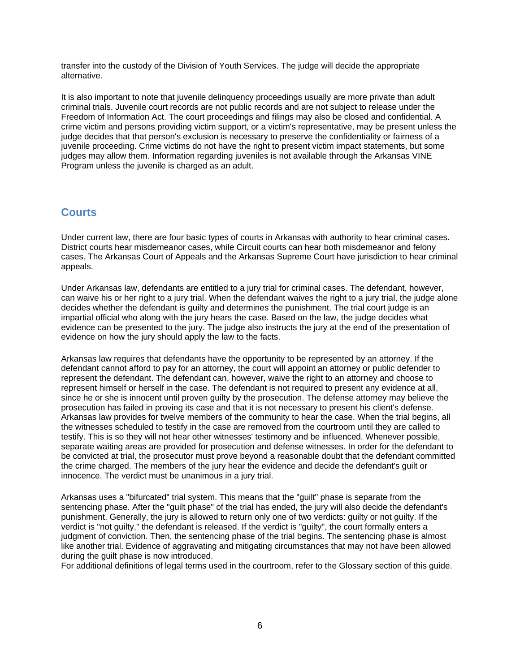transfer into the custody of the Division of Youth Services. The judge will decide the appropriate alternative.

It is also important to note that juvenile delinquency proceedings usually are more private than adult criminal trials. Juvenile court records are not public records and are not subject to release under the Freedom of Information Act. The court proceedings and filings may also be closed and confidential. A crime victim and persons providing victim support, or a victim's representative, may be present unless the judge decides that that person's exclusion is necessary to preserve the confidentiality or fairness of a juvenile proceeding. Crime victims do not have the right to present victim impact statements, but some judges may allow them. Information regarding juveniles is not available through the Arkansas VINE Program unless the juvenile is charged as an adult.

#### **Courts**

Under current law, there are four basic types of courts in Arkansas with authority to hear criminal cases. District courts hear misdemeanor cases, while Circuit courts can hear both misdemeanor and felony cases. The Arkansas Court of Appeals and the Arkansas Supreme Court have jurisdiction to hear criminal appeals.

Under Arkansas law, defendants are entitled to a jury trial for criminal cases. The defendant, however, can waive his or her right to a jury trial. When the defendant waives the right to a jury trial, the judge alone decides whether the defendant is guilty and determines the punishment. The trial court judge is an impartial official who along with the jury hears the case. Based on the law, the judge decides what evidence can be presented to the jury. The judge also instructs the jury at the end of the presentation of evidence on how the jury should apply the law to the facts.

Arkansas law requires that defendants have the opportunity to be represented by an attorney. If the defendant cannot afford to pay for an attorney, the court will appoint an attorney or public defender to represent the defendant. The defendant can, however, waive the right to an attorney and choose to represent himself or herself in the case. The defendant is not required to present any evidence at all, since he or she is innocent until proven guilty by the prosecution. The defense attorney may believe the prosecution has failed in proving its case and that it is not necessary to present his client's defense. Arkansas law provides for twelve members of the community to hear the case. When the trial begins, all the witnesses scheduled to testify in the case are removed from the courtroom until they are called to testify. This is so they will not hear other witnesses' testimony and be influenced. Whenever possible, separate waiting areas are provided for prosecution and defense witnesses. In order for the defendant to be convicted at trial, the prosecutor must prove beyond a reasonable doubt that the defendant committed the crime charged. The members of the jury hear the evidence and decide the defendant's guilt or innocence. The verdict must be unanimous in a jury trial.

Arkansas uses a "bifurcated" trial system. This means that the "guilt" phase is separate from the sentencing phase. After the "guilt phase" of the trial has ended, the jury will also decide the defendant's punishment. Generally, the jury is allowed to return only one of two verdicts: guilty or not guilty. If the verdict is "not guilty," the defendant is released. If the verdict is "guilty", the court formally enters a judgment of conviction. Then, the sentencing phase of the trial begins. The sentencing phase is almost like another trial. Evidence of aggravating and mitigating circumstances that may not have been allowed during the guilt phase is now introduced.

For additional definitions of legal terms used in the courtroom, refer to the Glossary section of this guide.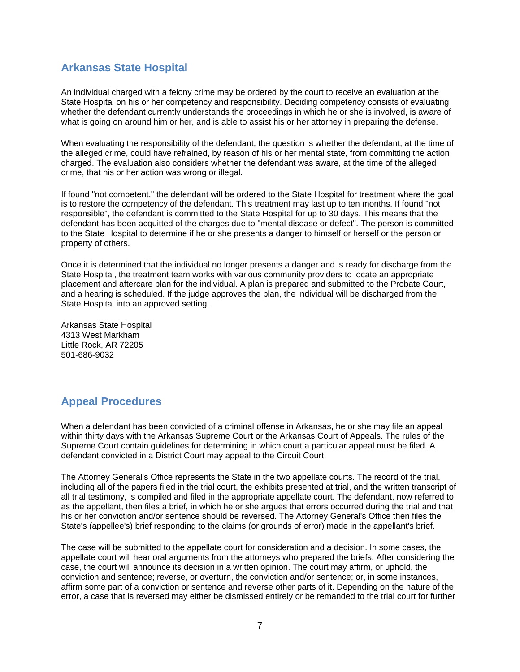## **Arkansas State Hospital**

An individual charged with a felony crime may be ordered by the court to receive an evaluation at the State Hospital on his or her competency and responsibility. Deciding competency consists of evaluating whether the defendant currently understands the proceedings in which he or she is involved, is aware of what is going on around him or her, and is able to assist his or her attorney in preparing the defense.

When evaluating the responsibility of the defendant, the question is whether the defendant, at the time of the alleged crime, could have refrained, by reason of his or her mental state, from committing the action charged. The evaluation also considers whether the defendant was aware, at the time of the alleged crime, that his or her action was wrong or illegal.

If found "not competent," the defendant will be ordered to the State Hospital for treatment where the goal is to restore the competency of the defendant. This treatment may last up to ten months. If found "not responsible", the defendant is committed to the State Hospital for up to 30 days. This means that the defendant has been acquitted of the charges due to "mental disease or defect". The person is committed to the State Hospital to determine if he or she presents a danger to himself or herself or the person or property of others.

Once it is determined that the individual no longer presents a danger and is ready for discharge from the State Hospital, the treatment team works with various community providers to locate an appropriate placement and aftercare plan for the individual. A plan is prepared and submitted to the Probate Court, and a hearing is scheduled. If the judge approves the plan, the individual will be discharged from the State Hospital into an approved setting.

Arkansas State Hospital 4313 West Markham Little Rock, AR 72205 501-686-9032

## **Appeal Procedures**

When a defendant has been convicted of a criminal offense in Arkansas, he or she may file an appeal within thirty days with the Arkansas Supreme Court or the Arkansas Court of Appeals. The rules of the Supreme Court contain guidelines for determining in which court a particular appeal must be filed. A defendant convicted in a District Court may appeal to the Circuit Court.

The Attorney General's Office represents the State in the two appellate courts. The record of the trial, including all of the papers filed in the trial court, the exhibits presented at trial, and the written transcript of all trial testimony, is compiled and filed in the appropriate appellate court. The defendant, now referred to as the appellant, then files a brief, in which he or she argues that errors occurred during the trial and that his or her conviction and/or sentence should be reversed. The Attorney General's Office then files the State's (appellee's) brief responding to the claims (or grounds of error) made in the appellant's brief.

The case will be submitted to the appellate court for consideration and a decision. In some cases, the appellate court will hear oral arguments from the attorneys who prepared the briefs. After considering the case, the court will announce its decision in a written opinion. The court may affirm, or uphold, the conviction and sentence; reverse, or overturn, the conviction and/or sentence; or, in some instances, affirm some part of a conviction or sentence and reverse other parts of it. Depending on the nature of the error, a case that is reversed may either be dismissed entirely or be remanded to the trial court for further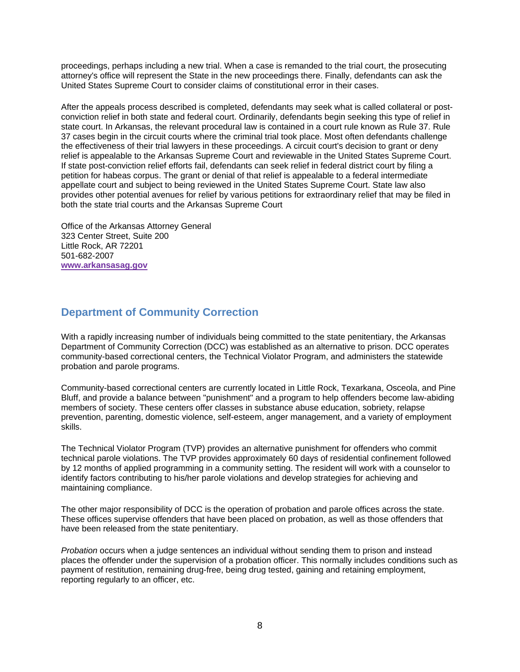proceedings, perhaps including a new trial. When a case is remanded to the trial court, the prosecuting attorney's office will represent the State in the new proceedings there. Finally, defendants can ask the United States Supreme Court to consider claims of constitutional error in their cases.

After the appeals process described is completed, defendants may seek what is called collateral or postconviction relief in both state and federal court. Ordinarily, defendants begin seeking this type of relief in state court. In Arkansas, the relevant procedural law is contained in a court rule known as Rule 37. Rule 37 cases begin in the circuit courts where the criminal trial took place. Most often defendants challenge the effectiveness of their trial lawyers in these proceedings. A circuit court's decision to grant or deny relief is appealable to the Arkansas Supreme Court and reviewable in the United States Supreme Court. If state post-conviction relief efforts fail, defendants can seek relief in federal district court by filing a petition for habeas corpus. The grant or denial of that relief is appealable to a federal intermediate appellate court and subject to being reviewed in the United States Supreme Court. State law also provides other potential avenues for relief by various petitions for extraordinary relief that may be filed in both the state trial courts and the Arkansas Supreme Court

Office of the Arkansas Attorney General 323 Center Street, Suite 200 Little Rock, AR 72201 501-682-2007 **www.arkansasag.gov**

## **Department of Community Correction**

With a rapidly increasing number of individuals being committed to the state penitentiary, the Arkansas Department of Community Correction (DCC) was established as an alternative to prison. DCC operates community-based correctional centers, the Technical Violator Program, and administers the statewide probation and parole programs.

Community-based correctional centers are currently located in Little Rock, Texarkana, Osceola, and Pine Bluff, and provide a balance between "punishment" and a program to help offenders become law-abiding members of society. These centers offer classes in substance abuse education, sobriety, relapse prevention, parenting, domestic violence, self-esteem, anger management, and a variety of employment skills.

The Technical Violator Program (TVP) provides an alternative punishment for offenders who commit technical parole violations. The TVP provides approximately 60 days of residential confinement followed by 12 months of applied programming in a community setting. The resident will work with a counselor to identify factors contributing to his/her parole violations and develop strategies for achieving and maintaining compliance.

The other major responsibility of DCC is the operation of probation and parole offices across the state. These offices supervise offenders that have been placed on probation, as well as those offenders that have been released from the state penitentiary.

*Probation* occurs when a judge sentences an individual without sending them to prison and instead places the offender under the supervision of a probation officer. This normally includes conditions such as payment of restitution, remaining drug-free, being drug tested, gaining and retaining employment, reporting regularly to an officer, etc.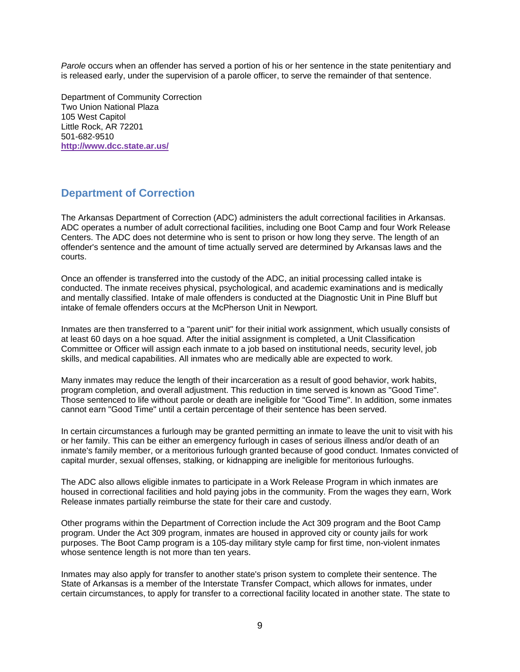*Parole* occurs when an offender has served a portion of his or her sentence in the state penitentiary and is released early, under the supervision of a parole officer, to serve the remainder of that sentence.

Department of Community Correction Two Union National Plaza 105 West Capitol Little Rock, AR 72201 501-682-9510 **http://www.dcc.state.ar.us/**

## **Department of Correction**

The Arkansas Department of Correction (ADC) administers the adult correctional facilities in Arkansas. ADC operates a number of adult correctional facilities, including one Boot Camp and four Work Release Centers. The ADC does not determine who is sent to prison or how long they serve. The length of an offender's sentence and the amount of time actually served are determined by Arkansas laws and the courts.

Once an offender is transferred into the custody of the ADC, an initial processing called intake is conducted. The inmate receives physical, psychological, and academic examinations and is medically and mentally classified. Intake of male offenders is conducted at the Diagnostic Unit in Pine Bluff but intake of female offenders occurs at the McPherson Unit in Newport.

Inmates are then transferred to a "parent unit" for their initial work assignment, which usually consists of at least 60 days on a hoe squad. After the initial assignment is completed, a Unit Classification Committee or Officer will assign each inmate to a job based on institutional needs, security level, job skills, and medical capabilities. All inmates who are medically able are expected to work.

Many inmates may reduce the length of their incarceration as a result of good behavior, work habits, program completion, and overall adjustment. This reduction in time served is known as "Good Time". Those sentenced to life without parole or death are ineligible for "Good Time". In addition, some inmates cannot earn "Good Time" until a certain percentage of their sentence has been served.

In certain circumstances a furlough may be granted permitting an inmate to leave the unit to visit with his or her family. This can be either an emergency furlough in cases of serious illness and/or death of an inmate's family member, or a meritorious furlough granted because of good conduct. Inmates convicted of capital murder, sexual offenses, stalking, or kidnapping are ineligible for meritorious furloughs.

The ADC also allows eligible inmates to participate in a Work Release Program in which inmates are housed in correctional facilities and hold paying jobs in the community. From the wages they earn, Work Release inmates partially reimburse the state for their care and custody.

Other programs within the Department of Correction include the Act 309 program and the Boot Camp program. Under the Act 309 program, inmates are housed in approved city or county jails for work purposes. The Boot Camp program is a 105-day military style camp for first time, non-violent inmates whose sentence length is not more than ten years.

Inmates may also apply for transfer to another state's prison system to complete their sentence. The State of Arkansas is a member of the Interstate Transfer Compact, which allows for inmates, under certain circumstances, to apply for transfer to a correctional facility located in another state. The state to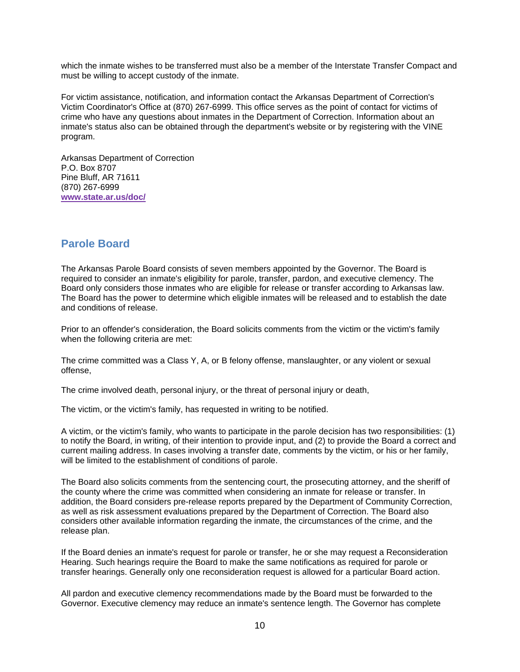which the inmate wishes to be transferred must also be a member of the Interstate Transfer Compact and must be willing to accept custody of the inmate.

For victim assistance, notification, and information contact the Arkansas Department of Correction's Victim Coordinator's Office at (870) 267-6999. This office serves as the point of contact for victims of crime who have any questions about inmates in the Department of Correction. Information about an inmate's status also can be obtained through the department's website or by registering with the VINE program.

Arkansas Department of Correction P.O. Box 8707 Pine Bluff, AR 71611 (870) 267-6999 **www.state.ar.us/doc/**

#### **Parole Board**

The Arkansas Parole Board consists of seven members appointed by the Governor. The Board is required to consider an inmate's eligibility for parole, transfer, pardon, and executive clemency. The Board only considers those inmates who are eligible for release or transfer according to Arkansas law. The Board has the power to determine which eligible inmates will be released and to establish the date and conditions of release.

Prior to an offender's consideration, the Board solicits comments from the victim or the victim's family when the following criteria are met:

The crime committed was a Class Y, A, or B felony offense, manslaughter, or any violent or sexual offense,

The crime involved death, personal injury, or the threat of personal injury or death,

The victim, or the victim's family, has requested in writing to be notified.

A victim, or the victim's family, who wants to participate in the parole decision has two responsibilities: (1) to notify the Board, in writing, of their intention to provide input, and (2) to provide the Board a correct and current mailing address. In cases involving a transfer date, comments by the victim, or his or her family, will be limited to the establishment of conditions of parole.

The Board also solicits comments from the sentencing court, the prosecuting attorney, and the sheriff of the county where the crime was committed when considering an inmate for release or transfer. In addition, the Board considers pre-release reports prepared by the Department of Community Correction, as well as risk assessment evaluations prepared by the Department of Correction. The Board also considers other available information regarding the inmate, the circumstances of the crime, and the release plan.

If the Board denies an inmate's request for parole or transfer, he or she may request a Reconsideration Hearing. Such hearings require the Board to make the same notifications as required for parole or transfer hearings. Generally only one reconsideration request is allowed for a particular Board action.

All pardon and executive clemency recommendations made by the Board must be forwarded to the Governor. Executive clemency may reduce an inmate's sentence length. The Governor has complete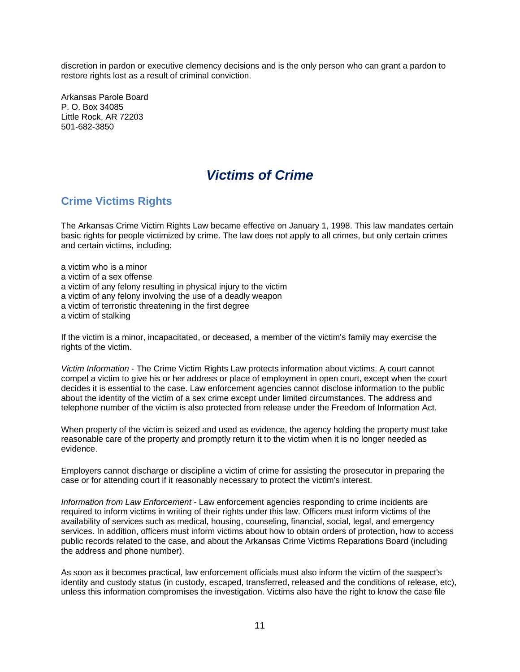discretion in pardon or executive clemency decisions and is the only person who can grant a pardon to restore rights lost as a result of criminal conviction.

Arkansas Parole Board P. O. Box 34085 Little Rock, AR 72203 501-682-3850

## *Victims of Crime*

## **Crime Victims Rights**

The Arkansas Crime Victim Rights Law became effective on January 1, 1998. This law mandates certain basic rights for people victimized by crime. The law does not apply to all crimes, but only certain crimes and certain victims, including:

a victim who is a minor a victim of a sex offense a victim of any felony resulting in physical injury to the victim a victim of any felony involving the use of a deadly weapon a victim of terroristic threatening in the first degree a victim of stalking

If the victim is a minor, incapacitated, or deceased, a member of the victim's family may exercise the rights of the victim.

*Victim Information* - The Crime Victim Rights Law protects information about victims. A court cannot compel a victim to give his or her address or place of employment in open court, except when the court decides it is essential to the case. Law enforcement agencies cannot disclose information to the public about the identity of the victim of a sex crime except under limited circumstances. The address and telephone number of the victim is also protected from release under the Freedom of Information Act.

When property of the victim is seized and used as evidence, the agency holding the property must take reasonable care of the property and promptly return it to the victim when it is no longer needed as evidence.

Employers cannot discharge or discipline a victim of crime for assisting the prosecutor in preparing the case or for attending court if it reasonably necessary to protect the victim's interest.

*Information from Law Enforcement* - Law enforcement agencies responding to crime incidents are required to inform victims in writing of their rights under this law. Officers must inform victims of the availability of services such as medical, housing, counseling, financial, social, legal, and emergency services. In addition, officers must inform victims about how to obtain orders of protection, how to access public records related to the case, and about the Arkansas Crime Victims Reparations Board (including the address and phone number).

As soon as it becomes practical, law enforcement officials must also inform the victim of the suspect's identity and custody status (in custody, escaped, transferred, released and the conditions of release, etc), unless this information compromises the investigation. Victims also have the right to know the case file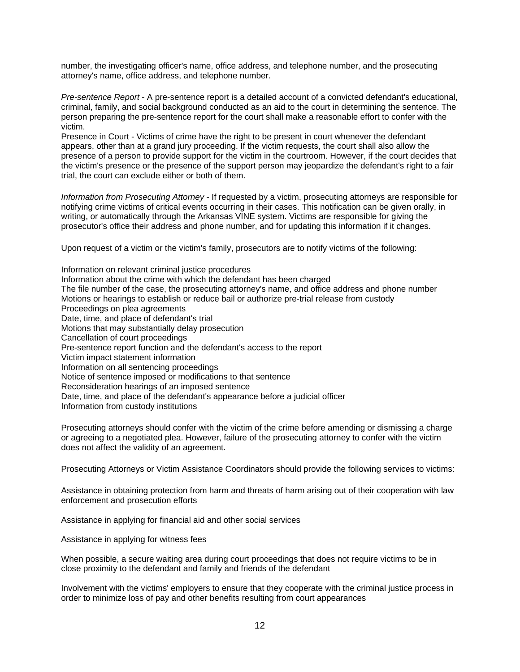number, the investigating officer's name, office address, and telephone number, and the prosecuting attorney's name, office address, and telephone number.

*Pre-sentence Report* - A pre-sentence report is a detailed account of a convicted defendant's educational, criminal, family, and social background conducted as an aid to the court in determining the sentence. The person preparing the pre-sentence report for the court shall make a reasonable effort to confer with the victim.

Presence in Court - Victims of crime have the right to be present in court whenever the defendant appears, other than at a grand jury proceeding. If the victim requests, the court shall also allow the presence of a person to provide support for the victim in the courtroom. However, if the court decides that the victim's presence or the presence of the support person may jeopardize the defendant's right to a fair trial, the court can exclude either or both of them.

*Information from Prosecuting Attorney* - If requested by a victim, prosecuting attorneys are responsible for notifying crime victims of critical events occurring in their cases. This notification can be given orally, in writing, or automatically through the Arkansas VINE system. Victims are responsible for giving the prosecutor's office their address and phone number, and for updating this information if it changes.

Upon request of a victim or the victim's family, prosecutors are to notify victims of the following:

Information on relevant criminal justice procedures Information about the crime with which the defendant has been charged The file number of the case, the prosecuting attorney's name, and office address and phone number Motions or hearings to establish or reduce bail or authorize pre-trial release from custody Proceedings on plea agreements Date, time, and place of defendant's trial Motions that may substantially delay prosecution Cancellation of court proceedings Pre-sentence report function and the defendant's access to the report Victim impact statement information Information on all sentencing proceedings Notice of sentence imposed or modifications to that sentence Reconsideration hearings of an imposed sentence Date, time, and place of the defendant's appearance before a judicial officer Information from custody institutions

Prosecuting attorneys should confer with the victim of the crime before amending or dismissing a charge or agreeing to a negotiated plea. However, failure of the prosecuting attorney to confer with the victim does not affect the validity of an agreement.

Prosecuting Attorneys or Victim Assistance Coordinators should provide the following services to victims:

Assistance in obtaining protection from harm and threats of harm arising out of their cooperation with law enforcement and prosecution efforts

Assistance in applying for financial aid and other social services

Assistance in applying for witness fees

When possible, a secure waiting area during court proceedings that does not require victims to be in close proximity to the defendant and family and friends of the defendant

Involvement with the victims' employers to ensure that they cooperate with the criminal justice process in order to minimize loss of pay and other benefits resulting from court appearances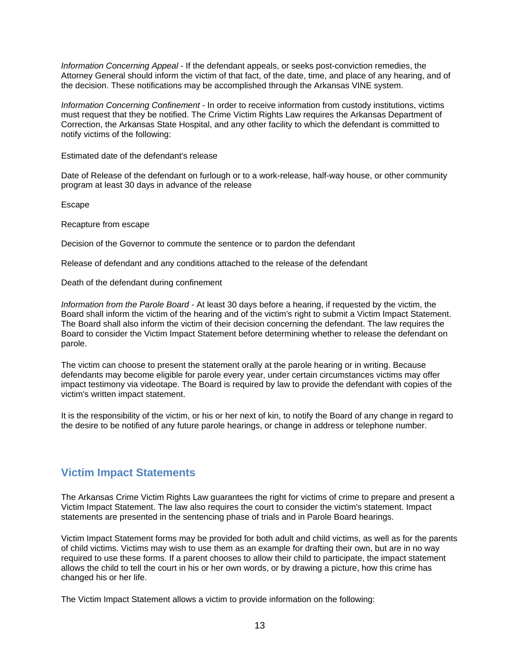*Information Concerning Appeal* - If the defendant appeals, or seeks post-conviction remedies, the Attorney General should inform the victim of that fact, of the date, time, and place of any hearing, and of the decision. These notifications may be accomplished through the Arkansas VINE system.

*Information Concerning Confinement* - In order to receive information from custody institutions, victims must request that they be notified. The Crime Victim Rights Law requires the Arkansas Department of Correction, the Arkansas State Hospital, and any other facility to which the defendant is committed to notify victims of the following:

Estimated date of the defendant's release

Date of Release of the defendant on furlough or to a work-release, half-way house, or other community program at least 30 days in advance of the release

Escape

Recapture from escape

Decision of the Governor to commute the sentence or to pardon the defendant

Release of defendant and any conditions attached to the release of the defendant

Death of the defendant during confinement

*Information from the Parole Board* - At least 30 days before a hearing, if requested by the victim, the Board shall inform the victim of the hearing and of the victim's right to submit a Victim Impact Statement. The Board shall also inform the victim of their decision concerning the defendant. The law requires the Board to consider the Victim Impact Statement before determining whether to release the defendant on parole.

The victim can choose to present the statement orally at the parole hearing or in writing. Because defendants may become eligible for parole every year, under certain circumstances victims may offer impact testimony via videotape. The Board is required by law to provide the defendant with copies of the victim's written impact statement.

It is the responsibility of the victim, or his or her next of kin, to notify the Board of any change in regard to the desire to be notified of any future parole hearings, or change in address or telephone number.

## **Victim Impact Statements**

The Arkansas Crime Victim Rights Law guarantees the right for victims of crime to prepare and present a Victim Impact Statement. The law also requires the court to consider the victim's statement. Impact statements are presented in the sentencing phase of trials and in Parole Board hearings.

Victim Impact Statement forms may be provided for both adult and child victims, as well as for the parents of child victims. Victims may wish to use them as an example for drafting their own, but are in no way required to use these forms. If a parent chooses to allow their child to participate, the impact statement allows the child to tell the court in his or her own words, or by drawing a picture, how this crime has changed his or her life.

The Victim Impact Statement allows a victim to provide information on the following: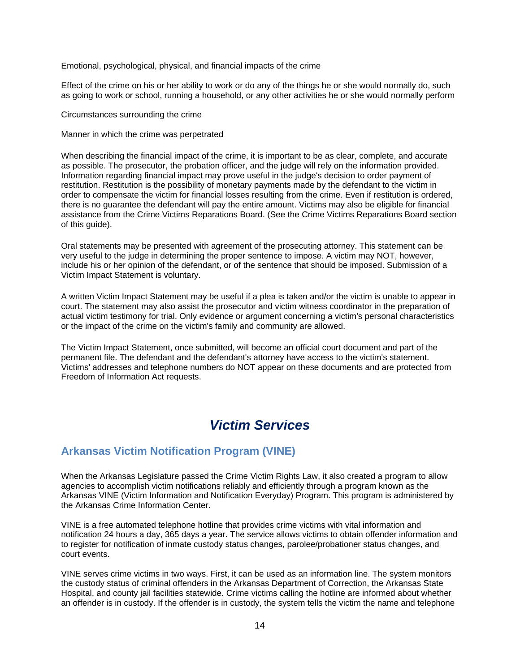Emotional, psychological, physical, and financial impacts of the crime

Effect of the crime on his or her ability to work or do any of the things he or she would normally do, such as going to work or school, running a household, or any other activities he or she would normally perform

Circumstances surrounding the crime

Manner in which the crime was perpetrated

When describing the financial impact of the crime, it is important to be as clear, complete, and accurate as possible. The prosecutor, the probation officer, and the judge will rely on the information provided. Information regarding financial impact may prove useful in the judge's decision to order payment of restitution. Restitution is the possibility of monetary payments made by the defendant to the victim in order to compensate the victim for financial losses resulting from the crime. Even if restitution is ordered, there is no guarantee the defendant will pay the entire amount. Victims may also be eligible for financial assistance from the Crime Victims Reparations Board. (See the Crime Victims Reparations Board section of this guide).

Oral statements may be presented with agreement of the prosecuting attorney. This statement can be very useful to the judge in determining the proper sentence to impose. A victim may NOT, however, include his or her opinion of the defendant, or of the sentence that should be imposed. Submission of a Victim Impact Statement is voluntary.

A written Victim Impact Statement may be useful if a plea is taken and/or the victim is unable to appear in court. The statement may also assist the prosecutor and victim witness coordinator in the preparation of actual victim testimony for trial. Only evidence or argument concerning a victim's personal characteristics or the impact of the crime on the victim's family and community are allowed.

The Victim Impact Statement, once submitted, will become an official court document and part of the permanent file. The defendant and the defendant's attorney have access to the victim's statement. Victims' addresses and telephone numbers do NOT appear on these documents and are protected from Freedom of Information Act requests.

## *Victim Services*

## **Arkansas Victim Notification Program (VINE)**

When the Arkansas Legislature passed the Crime Victim Rights Law, it also created a program to allow agencies to accomplish victim notifications reliably and efficiently through a program known as the Arkansas VINE (Victim Information and Notification Everyday) Program. This program is administered by the Arkansas Crime Information Center.

VINE is a free automated telephone hotline that provides crime victims with vital information and notification 24 hours a day, 365 days a year. The service allows victims to obtain offender information and to register for notification of inmate custody status changes, parolee/probationer status changes, and court events.

VINE serves crime victims in two ways. First, it can be used as an information line. The system monitors the custody status of criminal offenders in the Arkansas Department of Correction, the Arkansas State Hospital, and county jail facilities statewide. Crime victims calling the hotline are informed about whether an offender is in custody. If the offender is in custody, the system tells the victim the name and telephone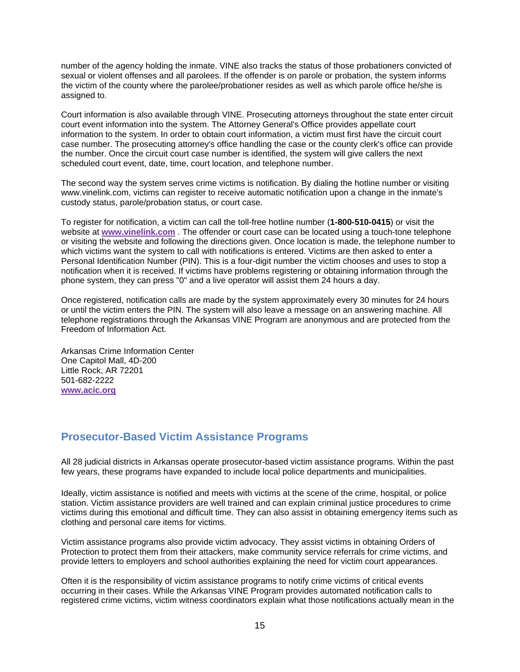number of the agency holding the inmate. VINE also tracks the status of those probationers convicted of sexual or violent offenses and all parolees. If the offender is on parole or probation, the system informs the victim of the county where the parolee/probationer resides as well as which parole office he/she is assigned to.

Court information is also available through VINE. Prosecuting attorneys throughout the state enter circuit court event information into the system. The Attorney General's Office provides appellate court information to the system. In order to obtain court information, a victim must first have the circuit court case number. The prosecuting attorney's office handling the case or the county clerk's office can provide the number. Once the circuit court case number is identified, the system will give callers the next scheduled court event, date, time, court location, and telephone number.

The second way the system serves crime victims is notification. By dialing the hotline number or visiting www.vinelink.com, victims can register to receive automatic notification upon a change in the inmate's custody status, parole/probation status, or court case.

To register for notification, a victim can call the toll-free hotline number (**1-800-510-0415**) or visit the website at **www.vinelink.com** . The offender or court case can be located using a touch-tone telephone or visiting the website and following the directions given. Once location is made, the telephone number to which victims want the system to call with notifications is entered. Victims are then asked to enter a Personal Identification Number (PIN). This is a four-digit number the victim chooses and uses to stop a notification when it is received. If victims have problems registering or obtaining information through the phone system, they can press "0" and a live operator will assist them 24 hours a day.

Once registered, notification calls are made by the system approximately every 30 minutes for 24 hours or until the victim enters the PIN. The system will also leave a message on an answering machine. All telephone registrations through the Arkansas VINE Program are anonymous and are protected from the Freedom of Information Act.

Arkansas Crime Information Center One Capitol Mall, 4D-200 Little Rock, AR 72201 501-682-2222 **www.acic.org**

## **Prosecutor-Based Victim Assistance Programs**

All 28 judicial districts in Arkansas operate prosecutor-based victim assistance programs. Within the past few years, these programs have expanded to include local police departments and municipalities.

Ideally, victim assistance is notified and meets with victims at the scene of the crime, hospital, or police station. Victim assistance providers are well trained and can explain criminal justice procedures to crime victims during this emotional and difficult time. They can also assist in obtaining emergency items such as clothing and personal care items for victims.

Victim assistance programs also provide victim advocacy. They assist victims in obtaining Orders of Protection to protect them from their attackers, make community service referrals for crime victims, and provide letters to employers and school authorities explaining the need for victim court appearances.

Often it is the responsibility of victim assistance programs to notify crime victims of critical events occurring in their cases. While the Arkansas VINE Program provides automated notification calls to registered crime victims, victim witness coordinators explain what those notifications actually mean in the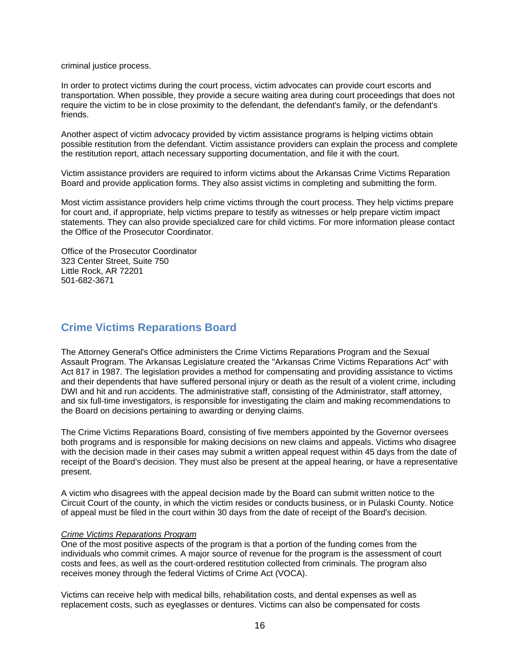criminal justice process.

In order to protect victims during the court process, victim advocates can provide court escorts and transportation. When possible, they provide a secure waiting area during court proceedings that does not require the victim to be in close proximity to the defendant, the defendant's family, or the defendant's friends.

Another aspect of victim advocacy provided by victim assistance programs is helping victims obtain possible restitution from the defendant. Victim assistance providers can explain the process and complete the restitution report, attach necessary supporting documentation, and file it with the court.

Victim assistance providers are required to inform victims about the Arkansas Crime Victims Reparation Board and provide application forms. They also assist victims in completing and submitting the form.

Most victim assistance providers help crime victims through the court process. They help victims prepare for court and, if appropriate, help victims prepare to testify as witnesses or help prepare victim impact statements. They can also provide specialized care for child victims. For more information please contact the Office of the Prosecutor Coordinator.

Office of the Prosecutor Coordinator 323 Center Street, Suite 750 Little Rock, AR 72201 501-682-3671

#### **Crime Victims Reparations Board**

The Attorney General's Office administers the Crime Victims Reparations Program and the Sexual Assault Program. The Arkansas Legislature created the "Arkansas Crime Victims Reparations Act" with Act 817 in 1987. The legislation provides a method for compensating and providing assistance to victims and their dependents that have suffered personal injury or death as the result of a violent crime, including DWI and hit and run accidents. The administrative staff, consisting of the Administrator, staff attorney, and six full-time investigators, is responsible for investigating the claim and making recommendations to the Board on decisions pertaining to awarding or denying claims.

The Crime Victims Reparations Board, consisting of five members appointed by the Governor oversees both programs and is responsible for making decisions on new claims and appeals. Victims who disagree with the decision made in their cases may submit a written appeal request within 45 days from the date of receipt of the Board's decision. They must also be present at the appeal hearing, or have a representative present.

A victim who disagrees with the appeal decision made by the Board can submit written notice to the Circuit Court of the county, in which the victim resides or conducts business, or in Pulaski County. Notice of appeal must be filed in the court within 30 days from the date of receipt of the Board's decision.

#### *Crime Victims Reparations Program*

One of the most positive aspects of the program is that a portion of the funding comes from the individuals who commit crimes. A major source of revenue for the program is the assessment of court costs and fees, as well as the court-ordered restitution collected from criminals. The program also receives money through the federal Victims of Crime Act (VOCA).

Victims can receive help with medical bills, rehabilitation costs, and dental expenses as well as replacement costs, such as eyeglasses or dentures. Victims can also be compensated for costs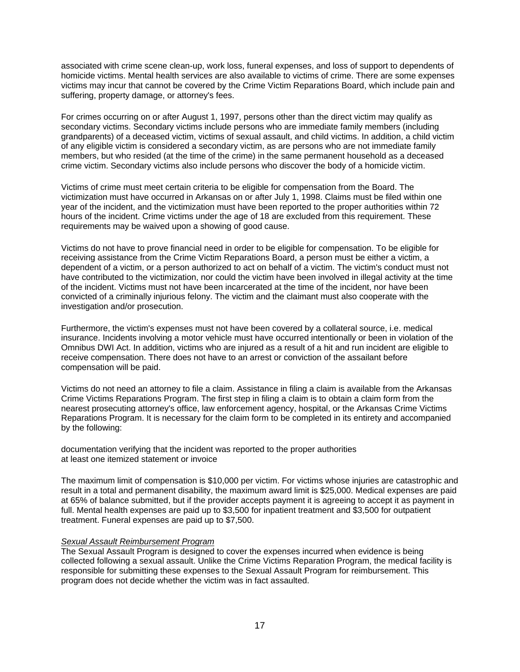associated with crime scene clean-up, work loss, funeral expenses, and loss of support to dependents of homicide victims. Mental health services are also available to victims of crime. There are some expenses victims may incur that cannot be covered by the Crime Victim Reparations Board, which include pain and suffering, property damage, or attorney's fees.

For crimes occurring on or after August 1, 1997, persons other than the direct victim may qualify as secondary victims. Secondary victims include persons who are immediate family members (including grandparents) of a deceased victim, victims of sexual assault, and child victims. In addition, a child victim of any eligible victim is considered a secondary victim, as are persons who are not immediate family members, but who resided (at the time of the crime) in the same permanent household as a deceased crime victim. Secondary victims also include persons who discover the body of a homicide victim.

Victims of crime must meet certain criteria to be eligible for compensation from the Board. The victimization must have occurred in Arkansas on or after July 1, 1998. Claims must be filed within one year of the incident, and the victimization must have been reported to the proper authorities within 72 hours of the incident. Crime victims under the age of 18 are excluded from this requirement. These requirements may be waived upon a showing of good cause.

Victims do not have to prove financial need in order to be eligible for compensation. To be eligible for receiving assistance from the Crime Victim Reparations Board, a person must be either a victim, a dependent of a victim, or a person authorized to act on behalf of a victim. The victim's conduct must not have contributed to the victimization, nor could the victim have been involved in illegal activity at the time of the incident. Victims must not have been incarcerated at the time of the incident, nor have been convicted of a criminally injurious felony. The victim and the claimant must also cooperate with the investigation and/or prosecution.

Furthermore, the victim's expenses must not have been covered by a collateral source, i.e. medical insurance. Incidents involving a motor vehicle must have occurred intentionally or been in violation of the Omnibus DWI Act. In addition, victims who are injured as a result of a hit and run incident are eligible to receive compensation. There does not have to an arrest or conviction of the assailant before compensation will be paid.

Victims do not need an attorney to file a claim. Assistance in filing a claim is available from the Arkansas Crime Victims Reparations Program. The first step in filing a claim is to obtain a claim form from the nearest prosecuting attorney's office, law enforcement agency, hospital, or the Arkansas Crime Victims Reparations Program. It is necessary for the claim form to be completed in its entirety and accompanied by the following:

documentation verifying that the incident was reported to the proper authorities at least one itemized statement or invoice

The maximum limit of compensation is \$10,000 per victim. For victims whose injuries are catastrophic and result in a total and permanent disability, the maximum award limit is \$25,000. Medical expenses are paid at 65% of balance submitted, but if the provider accepts payment it is agreeing to accept it as payment in full. Mental health expenses are paid up to \$3,500 for inpatient treatment and \$3,500 for outpatient treatment. Funeral expenses are paid up to \$7,500.

#### *Sexual Assault Reimbursement Program*

The Sexual Assault Program is designed to cover the expenses incurred when evidence is being collected following a sexual assault. Unlike the Crime Victims Reparation Program, the medical facility is responsible for submitting these expenses to the Sexual Assault Program for reimbursement. This program does not decide whether the victim was in fact assaulted.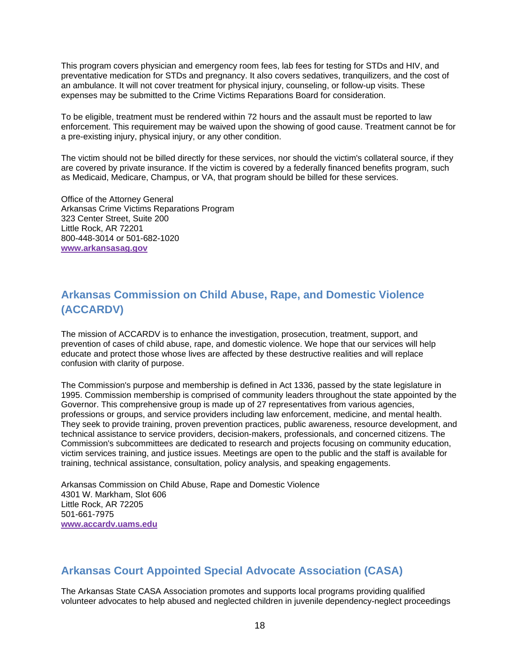This program covers physician and emergency room fees, lab fees for testing for STDs and HIV, and preventative medication for STDs and pregnancy. It also covers sedatives, tranquilizers, and the cost of an ambulance. It will not cover treatment for physical injury, counseling, or follow-up visits. These expenses may be submitted to the Crime Victims Reparations Board for consideration.

To be eligible, treatment must be rendered within 72 hours and the assault must be reported to law enforcement. This requirement may be waived upon the showing of good cause. Treatment cannot be for a pre-existing injury, physical injury, or any other condition.

The victim should not be billed directly for these services, nor should the victim's collateral source, if they are covered by private insurance. If the victim is covered by a federally financed benefits program, such as Medicaid, Medicare, Champus, or VA, that program should be billed for these services.

Office of the Attorney General Arkansas Crime Victims Reparations Program 323 Center Street, Suite 200 Little Rock, AR 72201 800-448-3014 or 501-682-1020 **www.arkansasag.gov**

## **Arkansas Commission on Child Abuse, Rape, and Domestic Violence (ACCARDV)**

The mission of ACCARDV is to enhance the investigation, prosecution, treatment, support, and prevention of cases of child abuse, rape, and domestic violence. We hope that our services will help educate and protect those whose lives are affected by these destructive realities and will replace confusion with clarity of purpose.

The Commission's purpose and membership is defined in Act 1336, passed by the state legislature in 1995. Commission membership is comprised of community leaders throughout the state appointed by the Governor. This comprehensive group is made up of 27 representatives from various agencies, professions or groups, and service providers including law enforcement, medicine, and mental health. They seek to provide training, proven prevention practices, public awareness, resource development, and technical assistance to service providers, decision-makers, professionals, and concerned citizens. The Commission's subcommittees are dedicated to research and projects focusing on community education, victim services training, and justice issues. Meetings are open to the public and the staff is available for training, technical assistance, consultation, policy analysis, and speaking engagements.

Arkansas Commission on Child Abuse, Rape and Domestic Violence 4301 W. Markham, Slot 606 Little Rock, AR 72205 501-661-7975 **www.accardv.uams.edu**

## **Arkansas Court Appointed Special Advocate Association (CASA)**

The Arkansas State CASA Association promotes and supports local programs providing qualified volunteer advocates to help abused and neglected children in juvenile dependency-neglect proceedings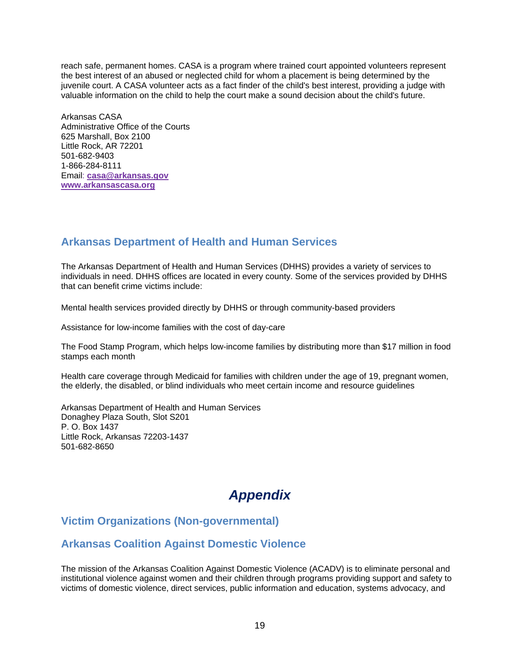reach safe, permanent homes. CASA is a program where trained court appointed volunteers represent the best interest of an abused or neglected child for whom a placement is being determined by the juvenile court. A CASA volunteer acts as a fact finder of the child's best interest, providing a judge with valuable information on the child to help the court make a sound decision about the child's future.

Arkansas CASA Administrative Office of the Courts 625 Marshall, Box 2100 Little Rock, AR 72201 501-682-9403 1-866-284-8111 Email: **casa@arkansas.gov www.arkansascasa.org**

## **Arkansas Department of Health and Human Services**

The Arkansas Department of Health and Human Services (DHHS) provides a variety of services to individuals in need. DHHS offices are located in every county. Some of the services provided by DHHS that can benefit crime victims include:

Mental health services provided directly by DHHS or through community-based providers

Assistance for low-income families with the cost of day-care

The Food Stamp Program, which helps low-income families by distributing more than \$17 million in food stamps each month

Health care coverage through Medicaid for families with children under the age of 19, pregnant women, the elderly, the disabled, or blind individuals who meet certain income and resource guidelines

Arkansas Department of Health and Human Services Donaghey Plaza South, Slot S201 P. O. Box 1437 Little Rock, Arkansas 72203-1437 501-682-8650

# *Appendix*

## **Victim Organizations (Non-governmental)**

## **Arkansas Coalition Against Domestic Violence**

The mission of the Arkansas Coalition Against Domestic Violence (ACADV) is to eliminate personal and institutional violence against women and their children through programs providing support and safety to victims of domestic violence, direct services, public information and education, systems advocacy, and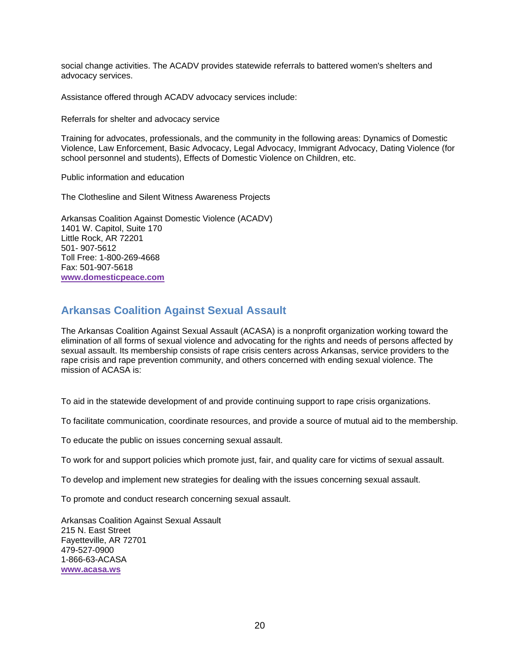social change activities. The ACADV provides statewide referrals to battered women's shelters and advocacy services.

Assistance offered through ACADV advocacy services include:

Referrals for shelter and advocacy service

Training for advocates, professionals, and the community in the following areas: Dynamics of Domestic Violence, Law Enforcement, Basic Advocacy, Legal Advocacy, Immigrant Advocacy, Dating Violence (for school personnel and students), Effects of Domestic Violence on Children, etc.

Public information and education

The Clothesline and Silent Witness Awareness Projects

Arkansas Coalition Against Domestic Violence (ACADV) 1401 W. Capitol, Suite 170 Little Rock, AR 72201 501- 907-5612 Toll Free: 1-800-269-4668 Fax: 501-907-5618 **www.domesticpeace.com** 

## **Arkansas Coalition Against Sexual Assault**

The Arkansas Coalition Against Sexual Assault (ACASA) is a nonprofit organization working toward the elimination of all forms of sexual violence and advocating for the rights and needs of persons affected by sexual assault. Its membership consists of rape crisis centers across Arkansas, service providers to the rape crisis and rape prevention community, and others concerned with ending sexual violence. The mission of ACASA is:

To aid in the statewide development of and provide continuing support to rape crisis organizations.

To facilitate communication, coordinate resources, and provide a source of mutual aid to the membership.

To educate the public on issues concerning sexual assault.

To work for and support policies which promote just, fair, and quality care for victims of sexual assault.

To develop and implement new strategies for dealing with the issues concerning sexual assault.

To promote and conduct research concerning sexual assault.

Arkansas Coalition Against Sexual Assault 215 N. East Street Fayetteville, AR 72701 479-527-0900 1-866-63-ACASA **www.acasa.ws**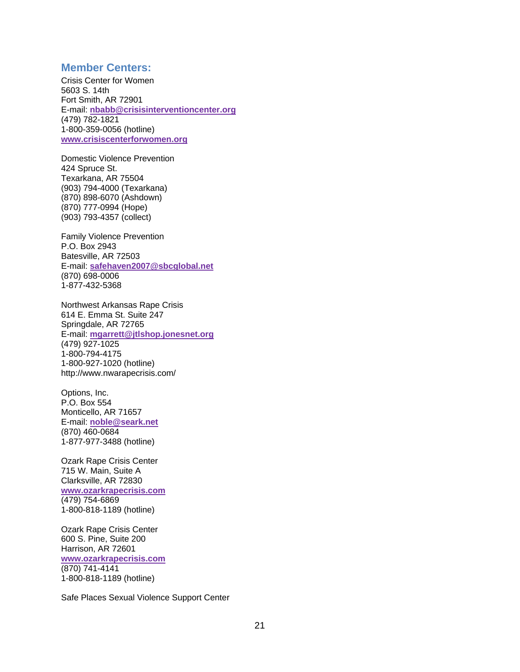#### **Member Centers:**

Crisis Center for Women 5603 S. 14th Fort Smith, AR 72901 E-mail: **nbabb@crisisinterventioncenter.org** (479) 782-1821 1-800-359-0056 (hotline) **www.crisiscenterforwomen.org**

Domestic Violence Prevention 424 Spruce St. Texarkana, AR 75504 (903) 794-4000 (Texarkana) (870) 898-6070 (Ashdown) (870) 777-0994 (Hope) (903) 793-4357 (collect)

Family Violence Prevention P.O. Box 2943 Batesville, AR 72503 E-mail: **safehaven2007@sbcglobal.net** (870) 698-0006 1-877-432-5368

Northwest Arkansas Rape Crisis 614 E. Emma St. Suite 247 Springdale, AR 72765 E-mail: **mgarrett@jtlshop.jonesnet.org** (479) 927-1025 1-800-794-4175 1-800-927-1020 (hotline) http://www.nwarapecrisis.com/

Options, Inc. P.O. Box 554 Monticello, AR 71657 E-mail: **noble@seark.net** (870) 460-0684 1-877-977-3488 (hotline)

Ozark Rape Crisis Center 715 W. Main, Suite A Clarksville, AR 72830 **www.ozarkrapecrisis.com** (479) 754-6869 1-800-818-1189 (hotline)

Ozark Rape Crisis Center 600 S. Pine, Suite 200 Harrison, AR 72601 **www.ozarkrapecrisis.com** (870) 741-4141 1-800-818-1189 (hotline)

Safe Places Sexual Violence Support Center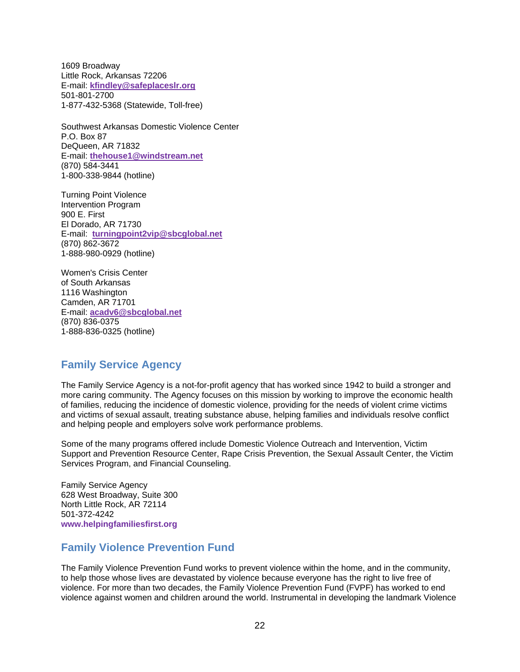1609 Broadway Little Rock, Arkansas 72206 E-mail: **kfindley@safeplaceslr.org** 501-801-2700 1-877-432-5368 (Statewide, Toll-free)

Southwest Arkansas Domestic Violence Center P.O. Box 87 DeQueen, AR 71832 E-mail: **thehouse1@windstream.net** (870) 584-3441 1-800-338-9844 (hotline)

Turning Point Violence Intervention Program 900 E. First El Dorado, AR 71730 E-mail: **turningpoint2vip@sbcglobal.net** (870) 862-3672 1-888-980-0929 (hotline)

Women's Crisis Center of South Arkansas 1116 Washington Camden, AR 71701 E-mail: **acadv6@sbcglobal.net** (870) 836-0375 1-888-836-0325 (hotline)

## **Family Service Agency**

The Family Service Agency is a not-for-profit agency that has worked since 1942 to build a stronger and more caring community. The Agency focuses on this mission by working to improve the economic health of families, reducing the incidence of domestic violence, providing for the needs of violent crime victims and victims of sexual assault, treating substance abuse, helping families and individuals resolve conflict and helping people and employers solve work performance problems.

Some of the many programs offered include Domestic Violence Outreach and Intervention, Victim Support and Prevention Resource Center, Rape Crisis Prevention, the Sexual Assault Center, the Victim Services Program, and Financial Counseling.

Family Service Agency 628 West Broadway, Suite 300 North Little Rock, AR 72114 501-372-4242 **www.helpingfamiliesfirst.org**

## **Family Violence Prevention Fund**

The Family Violence Prevention Fund works to prevent violence within the home, and in the community, to help those whose lives are devastated by violence because everyone has the right to live free of violence. For more than two decades, the Family Violence Prevention Fund (FVPF) has worked to end violence against women and children around the world. Instrumental in developing the landmark Violence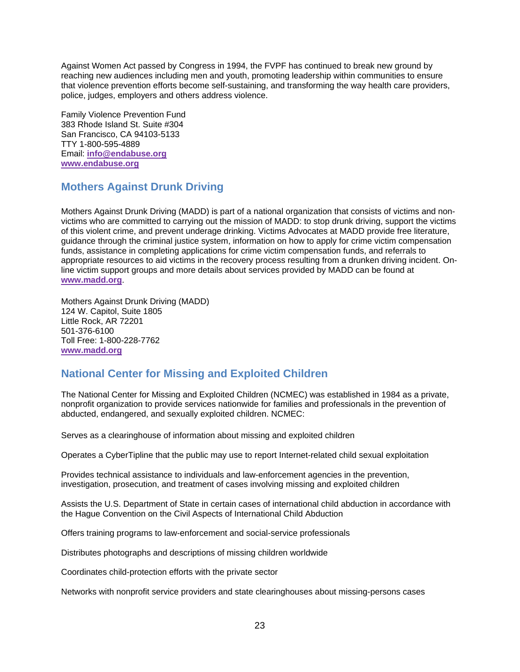Against Women Act passed by Congress in 1994, the FVPF has continued to break new ground by reaching new audiences including men and youth, promoting leadership within communities to ensure that violence prevention efforts become self-sustaining, and transforming the way health care providers, police, judges, employers and others address violence.

Family Violence Prevention Fund 383 Rhode Island St. Suite #304 San Francisco, CA 94103-5133 TTY 1-800-595-4889 Email: **info@endabuse.org www.endabuse.org**

## **Mothers Against Drunk Driving**

Mothers Against Drunk Driving (MADD) is part of a national organization that consists of victims and nonvictims who are committed to carrying out the mission of MADD: to stop drunk driving, support the victims of this violent crime, and prevent underage drinking. Victims Advocates at MADD provide free literature, guidance through the criminal justice system, information on how to apply for crime victim compensation funds, assistance in completing applications for crime victim compensation funds, and referrals to appropriate resources to aid victims in the recovery process resulting from a drunken driving incident. Online victim support groups and more details about services provided by MADD can be found at **www.madd.org**.

Mothers Against Drunk Driving (MADD) 124 W. Capitol, Suite 1805 Little Rock, AR 72201 501-376-6100 Toll Free: 1-800-228-7762 **www.madd.org**

## **National Center for Missing and Exploited Children**

The National Center for Missing and Exploited Children (NCMEC) was established in 1984 as a private, nonprofit organization to provide services nationwide for families and professionals in the prevention of abducted, endangered, and sexually exploited children. NCMEC:

Serves as a clearinghouse of information about missing and exploited children

Operates a CyberTipline that the public may use to report Internet-related child sexual exploitation

Provides technical assistance to individuals and law-enforcement agencies in the prevention, investigation, prosecution, and treatment of cases involving missing and exploited children

Assists the U.S. Department of State in certain cases of international child abduction in accordance with the Hague Convention on the Civil Aspects of International Child Abduction

Offers training programs to law-enforcement and social-service professionals

Distributes photographs and descriptions of missing children worldwide

Coordinates child-protection efforts with the private sector

Networks with nonprofit service providers and state clearinghouses about missing-persons cases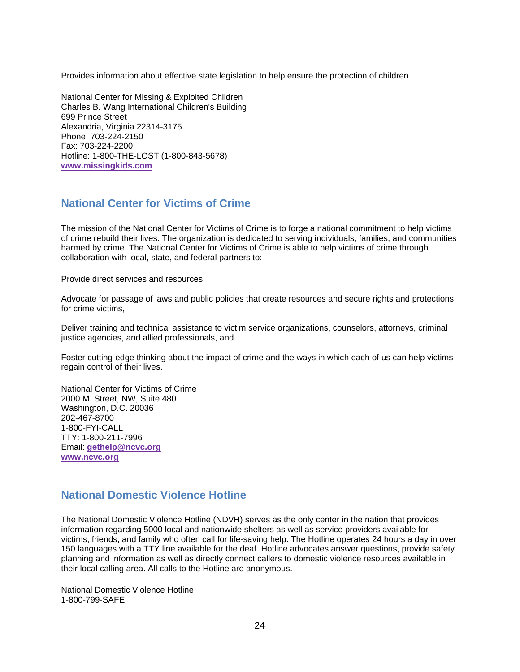Provides information about effective state legislation to help ensure the protection of children

National Center for Missing & Exploited Children Charles B. Wang International Children's Building 699 Prince Street Alexandria, Virginia 22314-3175 Phone: 703-224-2150 Fax: 703-224-2200 Hotline: 1-800-THE-LOST (1-800-843-5678) **www.missingkids.com**

## **National Center for Victims of Crime**

The mission of the National Center for Victims of Crime is to forge a national commitment to help victims of crime rebuild their lives. The organization is dedicated to serving individuals, families, and communities harmed by crime. The National Center for Victims of Crime is able to help victims of crime through collaboration with local, state, and federal partners to:

Provide direct services and resources,

Advocate for passage of laws and public policies that create resources and secure rights and protections for crime victims,

Deliver training and technical assistance to victim service organizations, counselors, attorneys, criminal justice agencies, and allied professionals, and

Foster cutting-edge thinking about the impact of crime and the ways in which each of us can help victims regain control of their lives.

National Center for Victims of Crime 2000 M. Street, NW, Suite 480 Washington, D.C. 20036 202-467-8700 1-800-FYI-CALL TTY: 1-800-211-7996 Email: **gethelp@ncvc.org www.ncvc.org**

## **National Domestic Violence Hotline**

The National Domestic Violence Hotline (NDVH) serves as the only center in the nation that provides information regarding 5000 local and nationwide shelters as well as service providers available for victims, friends, and family who often call for life-saving help. The Hotline operates 24 hours a day in over 150 languages with a TTY line available for the deaf. Hotline advocates answer questions, provide safety planning and information as well as directly connect callers to domestic violence resources available in their local calling area. All calls to the Hotline are anonymous.

National Domestic Violence Hotline 1-800-799-SAFE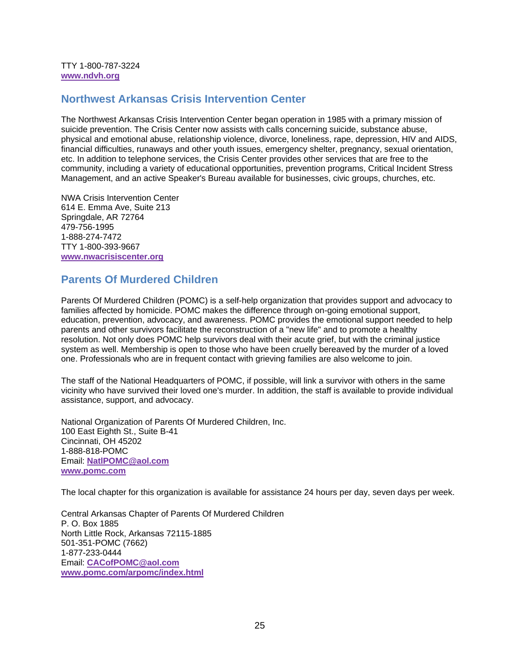TTY 1-800-787-3224 **www.ndvh.org**

#### **Northwest Arkansas Crisis Intervention Center**

The Northwest Arkansas Crisis Intervention Center began operation in 1985 with a primary mission of suicide prevention. The Crisis Center now assists with calls concerning suicide, substance abuse, physical and emotional abuse, relationship violence, divorce, loneliness, rape, depression, HIV and AIDS, financial difficulties, runaways and other youth issues, emergency shelter, pregnancy, sexual orientation, etc. In addition to telephone services, the Crisis Center provides other services that are free to the community, including a variety of educational opportunities, prevention programs, Critical Incident Stress Management, and an active Speaker's Bureau available for businesses, civic groups, churches, etc.

NWA Crisis Intervention Center 614 E. Emma Ave, Suite 213 Springdale, AR 72764 479-756-1995 1-888-274-7472 TTY 1-800-393-9667 **www.nwacrisiscenter.org**

## **Parents Of Murdered Children**

Parents Of Murdered Children (POMC) is a self-help organization that provides support and advocacy to families affected by homicide. POMC makes the difference through on-going emotional support, education, prevention, advocacy, and awareness. POMC provides the emotional support needed to help parents and other survivors facilitate the reconstruction of a "new life" and to promote a healthy resolution. Not only does POMC help survivors deal with their acute grief, but with the criminal justice system as well. Membership is open to those who have been cruelly bereaved by the murder of a loved one. Professionals who are in frequent contact with grieving families are also welcome to join.

The staff of the National Headquarters of POMC, if possible, will link a survivor with others in the same vicinity who have survived their loved one's murder. In addition, the staff is available to provide individual assistance, support, and advocacy.

National Organization of Parents Of Murdered Children, Inc. 100 East Eighth St., Suite B-41 Cincinnati, OH 45202 1-888-818-POMC Email: **NatlPOMC@aol.com www.pomc.com**

The local chapter for this organization is available for assistance 24 hours per day, seven days per week.

Central Arkansas Chapter of Parents Of Murdered Children P. O. Box 1885 North Little Rock, Arkansas 72115-1885 501-351-POMC (7662) 1-877-233-0444 Email: **CACofPOMC@aol.com www.pomc.com/arpomc/index.html**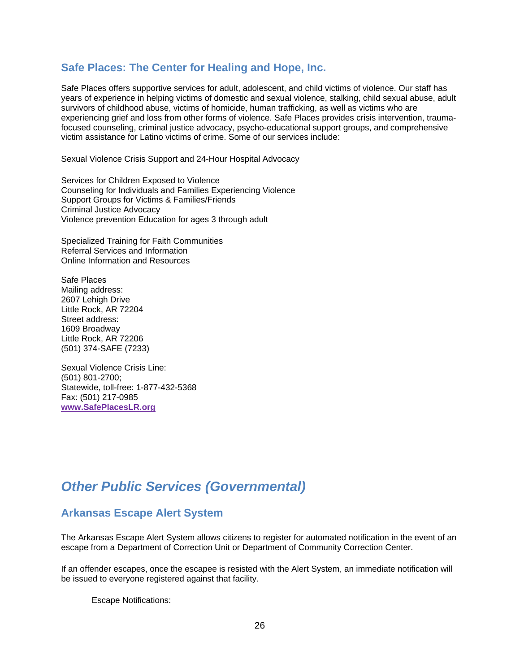#### **Safe Places: The Center for Healing and Hope, Inc.**

Safe Places offers supportive services for adult, adolescent, and child victims of violence. Our staff has years of experience in helping victims of domestic and sexual violence, stalking, child sexual abuse, adult survivors of childhood abuse, victims of homicide, human trafficking, as well as victims who are experiencing grief and loss from other forms of violence. Safe Places provides crisis intervention, traumafocused counseling, criminal justice advocacy, psycho-educational support groups, and comprehensive victim assistance for Latino victims of crime. Some of our services include:

Sexual Violence Crisis Support and 24-Hour Hospital Advocacy

Services for Children Exposed to Violence Counseling for Individuals and Families Experiencing Violence Support Groups for Victims & Families/Friends Criminal Justice Advocacy Violence prevention Education for ages 3 through adult

Specialized Training for Faith Communities Referral Services and Information Online Information and Resources

Safe Places Mailing address: 2607 Lehigh Drive Little Rock, AR 72204 Street address: 1609 Broadway Little Rock, AR 72206 (501) 374-SAFE (7233)

Sexual Violence Crisis Line: (501) 801-2700; Statewide, toll-free: 1-877-432-5368 Fax: (501) 217-0985 **www.SafePlacesLR.org**

## *Other Public Services (Governmental)*

## **Arkansas Escape Alert System**

The Arkansas Escape Alert System allows citizens to register for automated notification in the event of an escape from a Department of Correction Unit or Department of Community Correction Center.

If an offender escapes, once the escapee is resisted with the Alert System, an immediate notification will be issued to everyone registered against that facility.

Escape Notifications: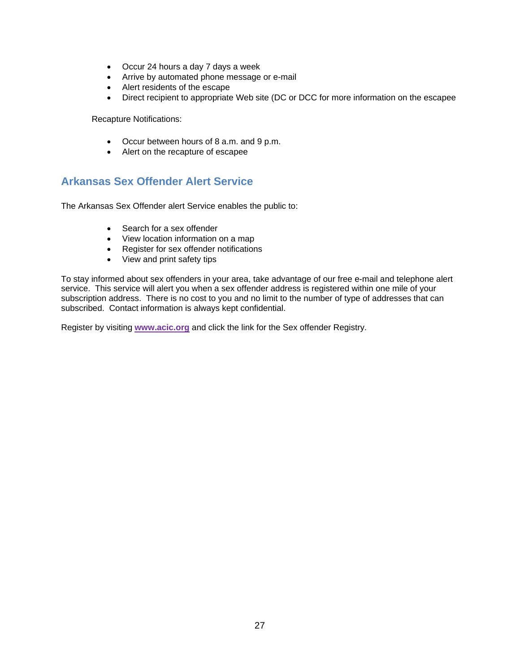- Occur 24 hours a day 7 days a week
- Arrive by automated phone message or e-mail
- Alert residents of the escape
- Direct recipient to appropriate Web site (DC or DCC for more information on the escapee

Recapture Notifications:

- Occur between hours of 8 a.m. and 9 p.m.
- Alert on the recapture of escapee

## **Arkansas Sex Offender Alert Service**

The Arkansas Sex Offender alert Service enables the public to:

- Search for a sex offender
- View location information on a map
- Register for sex offender notifications
- View and print safety tips

To stay informed about sex offenders in your area, take advantage of our free e-mail and telephone alert service. This service will alert you when a sex offender address is registered within one mile of your subscription address. There is no cost to you and no limit to the number of type of addresses that can subscribed. Contact information is always kept confidential.

Register by visiting **www.acic.org** and click the link for the Sex offender Registry.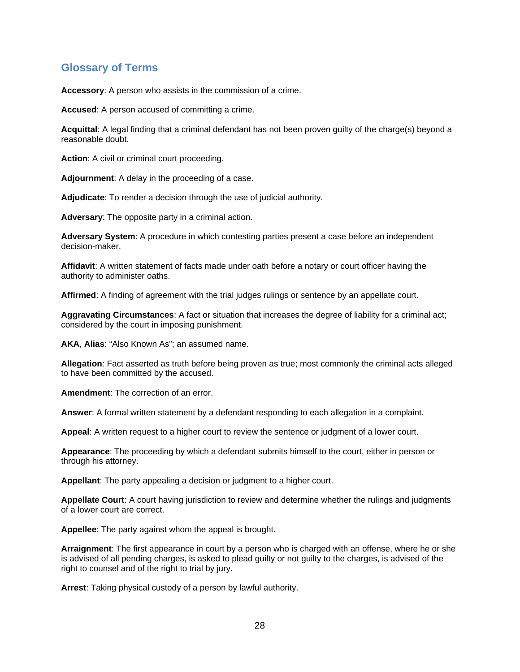## **Glossary of Terms**

**Accessory**: A person who assists in the commission of a crime.

**Accused**: A person accused of committing a crime.

**Acquittal**: A legal finding that a criminal defendant has not been proven guilty of the charge(s) beyond a reasonable doubt.

**Action**: A civil or criminal court proceeding.

**Adjournment**: A delay in the proceeding of a case.

**Adjudicate**: To render a decision through the use of judicial authority.

**Adversary**: The opposite party in a criminal action.

**Adversary System**: A procedure in which contesting parties present a case before an independent decision-maker.

**Affidavit**: A written statement of facts made under oath before a notary or court officer having the authority to administer oaths.

**Affirmed**: A finding of agreement with the trial judges rulings or sentence by an appellate court.

**Aggravating Circumstances**: A fact or situation that increases the degree of liability for a criminal act; considered by the court in imposing punishment.

**AKA**, **Alias**: "Also Known As"; an assumed name.

**Allegation**: Fact asserted as truth before being proven as true; most commonly the criminal acts alleged to have been committed by the accused.

**Amendment**: The correction of an error.

**Answer**: A formal written statement by a defendant responding to each allegation in a complaint.

**Appeal**: A written request to a higher court to review the sentence or judgment of a lower court.

**Appearance**: The proceeding by which a defendant submits himself to the court, either in person or through his attorney.

**Appellant**: The party appealing a decision or judgment to a higher court.

**Appellate Court**: A court having jurisdiction to review and determine whether the rulings and judgments of a lower court are correct.

**Appellee**: The party against whom the appeal is brought.

**Arraignment**: The first appearance in court by a person who is charged with an offense, where he or she is advised of all pending charges, is asked to plead guilty or not guilty to the charges, is advised of the right to counsel and of the right to trial by jury.

**Arrest**: Taking physical custody of a person by lawful authority.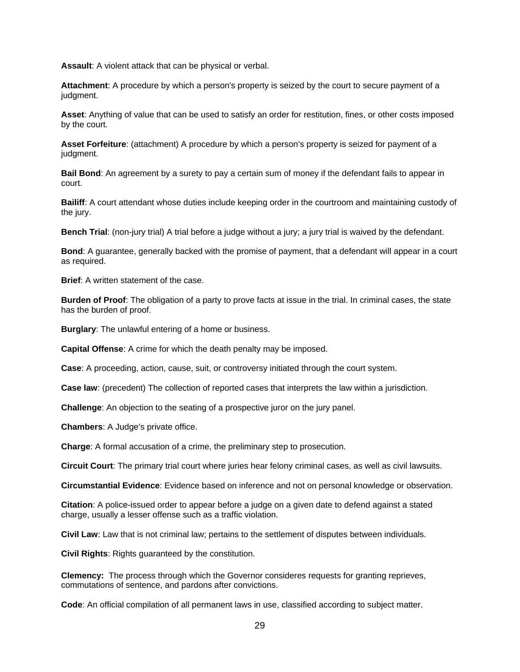**Assault**: A violent attack that can be physical or verbal.

**Attachment**: A procedure by which a person's property is seized by the court to secure payment of a judgment.

**Asset**: Anything of value that can be used to satisfy an order for restitution, fines, or other costs imposed by the court.

**Asset Forfeiture**: (attachment) A procedure by which a person's property is seized for payment of a judgment.

**Bail Bond**: An agreement by a surety to pay a certain sum of money if the defendant fails to appear in court.

**Bailiff**: A court attendant whose duties include keeping order in the courtroom and maintaining custody of the jury.

**Bench Trial**: (non-jury trial) A trial before a judge without a jury; a jury trial is waived by the defendant.

**Bond**: A guarantee, generally backed with the promise of payment, that a defendant will appear in a court as required.

**Brief**: A written statement of the case.

**Burden of Proof**: The obligation of a party to prove facts at issue in the trial. In criminal cases, the state has the burden of proof.

**Burglary**: The unlawful entering of a home or business.

**Capital Offense**: A crime for which the death penalty may be imposed.

**Case**: A proceeding, action, cause, suit, or controversy initiated through the court system.

**Case law**: (precedent) The collection of reported cases that interprets the law within a jurisdiction.

**Challenge**: An objection to the seating of a prospective juror on the jury panel.

**Chambers**: A Judge's private office.

**Charge**: A formal accusation of a crime, the preliminary step to prosecution.

**Circuit Court**: The primary trial court where juries hear felony criminal cases, as well as civil lawsuits.

**Circumstantial Evidence**: Evidence based on inference and not on personal knowledge or observation.

**Citation**: A police-issued order to appear before a judge on a given date to defend against a stated charge, usually a lesser offense such as a traffic violation.

**Civil Law**: Law that is not criminal law; pertains to the settlement of disputes between individuals.

**Civil Rights**: Rights guaranteed by the constitution.

**Clemency:** The process through which the Governor consideres requests for granting reprieves, commutations of sentence, and pardons after convictions.

**Code**: An official compilation of all permanent laws in use, classified according to subject matter.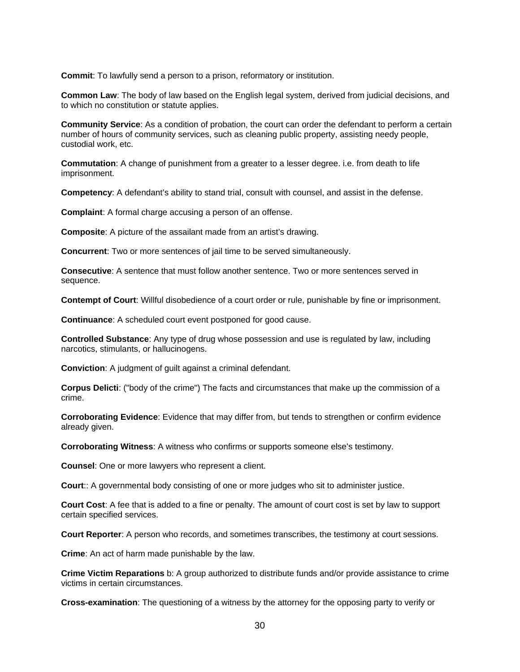**Commit**: To lawfully send a person to a prison, reformatory or institution.

**Common Law**: The body of law based on the English legal system, derived from judicial decisions, and to which no constitution or statute applies.

**Community Service**: As a condition of probation, the court can order the defendant to perform a certain number of hours of community services, such as cleaning public property, assisting needy people, custodial work, etc.

**Commutation**: A change of punishment from a greater to a lesser degree. i.e. from death to life imprisonment.

**Competency**: A defendant's ability to stand trial, consult with counsel, and assist in the defense.

**Complaint**: A formal charge accusing a person of an offense.

**Composite**: A picture of the assailant made from an artist's drawing.

**Concurrent**: Two or more sentences of jail time to be served simultaneously.

**Consecutive**: A sentence that must follow another sentence. Two or more sentences served in sequence.

**Contempt of Court**: Willful disobedience of a court order or rule, punishable by fine or imprisonment.

**Continuance**: A scheduled court event postponed for good cause.

**Controlled Substance**: Any type of drug whose possession and use is regulated by law, including narcotics, stimulants, or hallucinogens.

**Conviction**: A judgment of guilt against a criminal defendant.

**Corpus Delicti**: ("body of the crime") The facts and circumstances that make up the commission of a crime.

**Corroborating Evidence**: Evidence that may differ from, but tends to strengthen or confirm evidence already given.

**Corroborating Witness**: A witness who confirms or supports someone else's testimony.

**Counsel**: One or more lawyers who represent a client.

**Court**:: A governmental body consisting of one or more judges who sit to administer justice.

**Court Cost**: A fee that is added to a fine or penalty. The amount of court cost is set by law to support certain specified services.

**Court Reporter**: A person who records, and sometimes transcribes, the testimony at court sessions.

**Crime**: An act of harm made punishable by the law.

**Crime Victim Reparations** b: A group authorized to distribute funds and/or provide assistance to crime victims in certain circumstances.

**Cross-examination**: The questioning of a witness by the attorney for the opposing party to verify or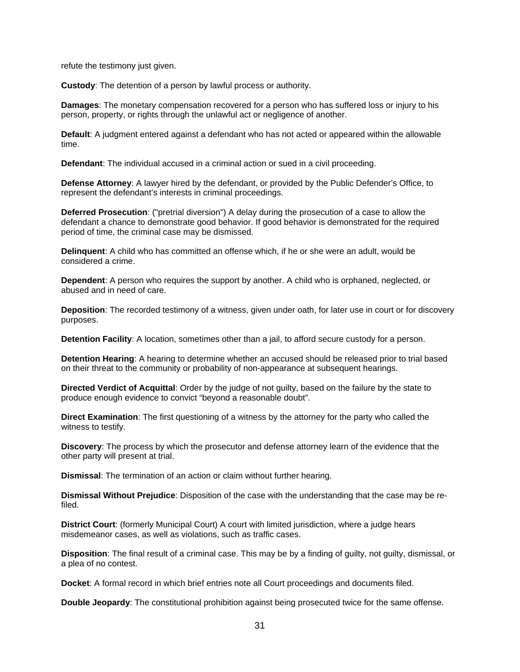refute the testimony just given.

**Custody**: The detention of a person by lawful process or authority.

**Damages**: The monetary compensation recovered for a person who has suffered loss or injury to his person, property, or rights through the unlawful act or negligence of another.

**Default**: A judgment entered against a defendant who has not acted or appeared within the allowable time.

**Defendant**: The individual accused in a criminal action or sued in a civil proceeding.

**Defense Attorney**: A lawyer hired by the defendant, or provided by the Public Defender's Office, to represent the defendant's interests in criminal proceedings.

**Deferred Prosecution**: ("pretrial diversion") A delay during the prosecution of a case to allow the defendant a chance to demonstrate good behavior. If good behavior is demonstrated for the required period of time, the criminal case may be dismissed.

**Delinquent**: A child who has committed an offense which, if he or she were an adult, would be considered a crime.

**Dependent**: A person who requires the support by another. A child who is orphaned, neglected, or abused and in need of care.

**Deposition**: The recorded testimony of a witness, given under oath, for later use in court or for discovery purposes.

**Detention Facility**: A location, sometimes other than a jail, to afford secure custody for a person.

**Detention Hearing**: A hearing to determine whether an accused should be released prior to trial based on their threat to the community or probability of non-appearance at subsequent hearings.

**Directed Verdict of Acquittal**: Order by the judge of not guilty, based on the failure by the state to produce enough evidence to convict "beyond a reasonable doubt".

**Direct Examination**: The first questioning of a witness by the attorney for the party who called the witness to testify.

**Discovery**: The process by which the prosecutor and defense attorney learn of the evidence that the other party will present at trial.

**Dismissal**: The termination of an action or claim without further hearing.

**Dismissal Without Prejudice**: Disposition of the case with the understanding that the case may be refiled.

**District Court**: (formerly Municipal Court) A court with limited jurisdiction, where a judge hears misdemeanor cases, as well as violations, such as traffic cases.

**Disposition**: The final result of a criminal case. This may be by a finding of guilty, not guilty, dismissal, or a plea of no contest.

**Docket**: A formal record in which brief entries note all Court proceedings and documents filed.

**Double Jeopardy**: The constitutional prohibition against being prosecuted twice for the same offense.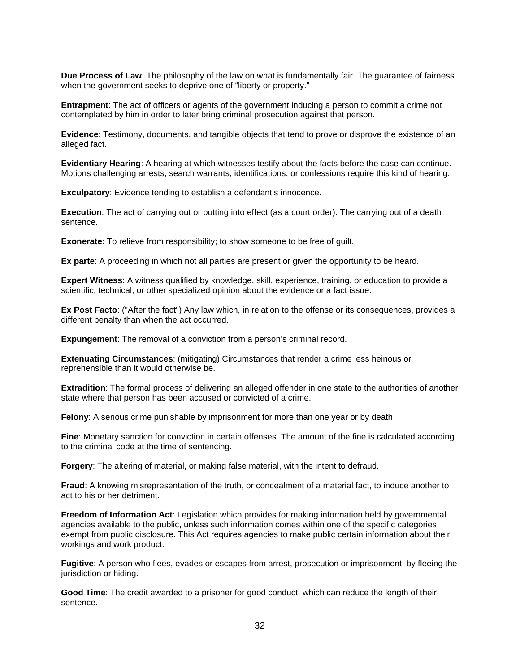**Due Process of Law**: The philosophy of the law on what is fundamentally fair. The guarantee of fairness when the government seeks to deprive one of "liberty or property."

**Entrapment**: The act of officers or agents of the government inducing a person to commit a crime not contemplated by him in order to later bring criminal prosecution against that person.

**Evidence**: Testimony, documents, and tangible objects that tend to prove or disprove the existence of an alleged fact.

**Evidentiary Hearing**: A hearing at which witnesses testify about the facts before the case can continue. Motions challenging arrests, search warrants, identifications, or confessions require this kind of hearing.

**Exculpatory**: Evidence tending to establish a defendant's innocence.

**Execution**: The act of carrying out or putting into effect (as a court order). The carrying out of a death sentence.

**Exonerate:** To relieve from responsibility; to show someone to be free of quilt.

**Ex parte**: A proceeding in which not all parties are present or given the opportunity to be heard.

**Expert Witness**: A witness qualified by knowledge, skill, experience, training, or education to provide a scientific, technical, or other specialized opinion about the evidence or a fact issue.

**Ex Post Facto**: ("After the fact") Any law which, in relation to the offense or its consequences, provides a different penalty than when the act occurred.

**Expungement**: The removal of a conviction from a person's criminal record.

**Extenuating Circumstances**: (mitigating) Circumstances that render a crime less heinous or reprehensible than it would otherwise be.

**Extradition**: The formal process of delivering an alleged offender in one state to the authorities of another state where that person has been accused or convicted of a crime.

**Felony**: A serious crime punishable by imprisonment for more than one year or by death.

**Fine**: Monetary sanction for conviction in certain offenses. The amount of the fine is calculated according to the criminal code at the time of sentencing.

**Forgery**: The altering of material, or making false material, with the intent to defraud.

**Fraud**: A knowing misrepresentation of the truth, or concealment of a material fact, to induce another to act to his or her detriment.

**Freedom of Information Act**: Legislation which provides for making information held by governmental agencies available to the public, unless such information comes within one of the specific categories exempt from public disclosure. This Act requires agencies to make public certain information about their workings and work product.

**Fugitive**: A person who flees, evades or escapes from arrest, prosecution or imprisonment, by fleeing the jurisdiction or hiding.

**Good Time**: The credit awarded to a prisoner for good conduct, which can reduce the length of their sentence.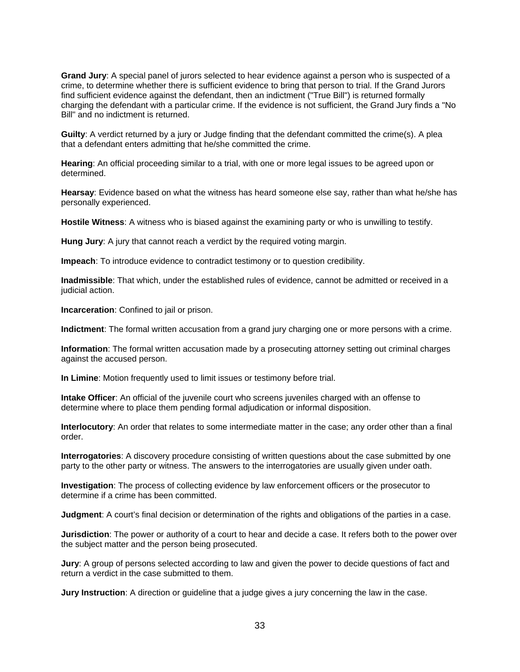**Grand Jury**: A special panel of jurors selected to hear evidence against a person who is suspected of a crime, to determine whether there is sufficient evidence to bring that person to trial. If the Grand Jurors find sufficient evidence against the defendant, then an indictment ("True Bill") is returned formally charging the defendant with a particular crime. If the evidence is not sufficient, the Grand Jury finds a "No Bill" and no indictment is returned.

**Guilty**: A verdict returned by a jury or Judge finding that the defendant committed the crime(s). A plea that a defendant enters admitting that he/she committed the crime.

**Hearing**: An official proceeding similar to a trial, with one or more legal issues to be agreed upon or determined.

**Hearsay**: Evidence based on what the witness has heard someone else say, rather than what he/she has personally experienced.

**Hostile Witness**: A witness who is biased against the examining party or who is unwilling to testify.

**Hung Jury**: A jury that cannot reach a verdict by the required voting margin.

**Impeach**: To introduce evidence to contradict testimony or to question credibility.

**Inadmissible**: That which, under the established rules of evidence, cannot be admitted or received in a judicial action.

**Incarceration**: Confined to jail or prison.

**Indictment**: The formal written accusation from a grand jury charging one or more persons with a crime.

**Information**: The formal written accusation made by a prosecuting attorney setting out criminal charges against the accused person.

**In Limine**: Motion frequently used to limit issues or testimony before trial.

**Intake Officer**: An official of the juvenile court who screens juveniles charged with an offense to determine where to place them pending formal adjudication or informal disposition.

**Interlocutory**: An order that relates to some intermediate matter in the case; any order other than a final order.

**Interrogatories**: A discovery procedure consisting of written questions about the case submitted by one party to the other party or witness. The answers to the interrogatories are usually given under oath.

**Investigation**: The process of collecting evidence by law enforcement officers or the prosecutor to determine if a crime has been committed.

**Judgment**: A court's final decision or determination of the rights and obligations of the parties in a case.

**Jurisdiction**: The power or authority of a court to hear and decide a case. It refers both to the power over the subject matter and the person being prosecuted.

**Jury**: A group of persons selected according to law and given the power to decide questions of fact and return a verdict in the case submitted to them.

**Jury Instruction**: A direction or guideline that a judge gives a jury concerning the law in the case.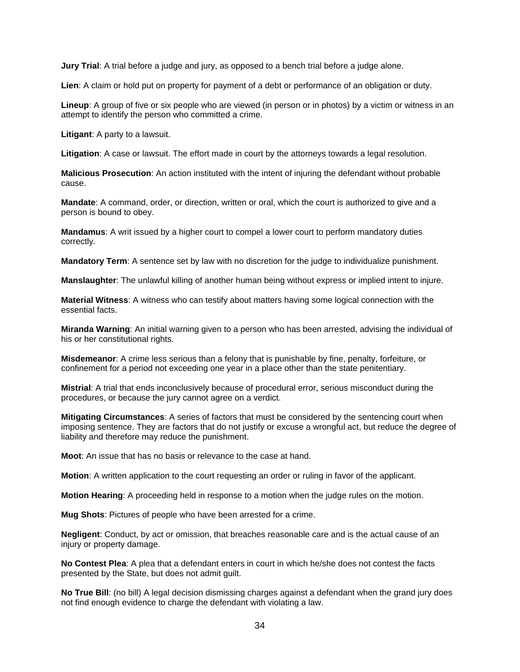**Jury Trial**: A trial before a judge and jury, as opposed to a bench trial before a judge alone.

**Lien**: A claim or hold put on property for payment of a debt or performance of an obligation or duty.

**Lineup**: A group of five or six people who are viewed (in person or in photos) by a victim or witness in an attempt to identify the person who committed a crime.

**Litigant**: A party to a lawsuit.

**Litigation**: A case or lawsuit. The effort made in court by the attorneys towards a legal resolution.

**Malicious Prosecution**: An action instituted with the intent of injuring the defendant without probable cause.

**Mandate**: A command, order, or direction, written or oral, which the court is authorized to give and a person is bound to obey.

**Mandamus**: A writ issued by a higher court to compel a lower court to perform mandatory duties correctly.

**Mandatory Term**: A sentence set by law with no discretion for the judge to individualize punishment.

**Manslaughter**: The unlawful killing of another human being without express or implied intent to injure.

**Material Witness**: A witness who can testify about matters having some logical connection with the essential facts.

**Miranda Warning**: An initial warning given to a person who has been arrested, advising the individual of his or her constitutional rights.

**Misdemeanor**: A crime less serious than a felony that is punishable by fine, penalty, forfeiture, or confinement for a period not exceeding one year in a place other than the state penitentiary.

**Mistrial**: A trial that ends inconclusively because of procedural error, serious misconduct during the procedures, or because the jury cannot agree on a verdict.

**Mitigating Circumstances**: A series of factors that must be considered by the sentencing court when imposing sentence. They are factors that do not justify or excuse a wrongful act, but reduce the degree of liability and therefore may reduce the punishment.

**Moot**: An issue that has no basis or relevance to the case at hand.

**Motion**: A written application to the court requesting an order or ruling in favor of the applicant.

**Motion Hearing**: A proceeding held in response to a motion when the judge rules on the motion.

**Mug Shots**: Pictures of people who have been arrested for a crime.

**Negligent**: Conduct, by act or omission, that breaches reasonable care and is the actual cause of an injury or property damage.

**No Contest Plea**: A plea that a defendant enters in court in which he/she does not contest the facts presented by the State, but does not admit guilt.

**No True Bill**: (no bill) A legal decision dismissing charges against a defendant when the grand jury does not find enough evidence to charge the defendant with violating a law.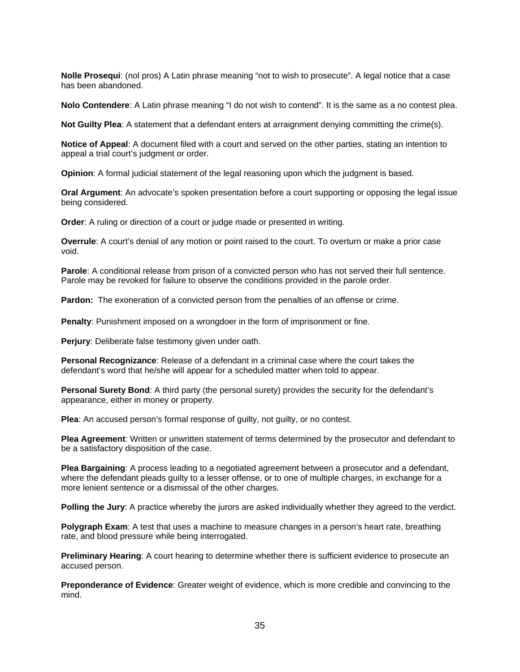**Nolle Prosequi**: (nol pros) A Latin phrase meaning "not to wish to prosecute". A legal notice that a case has been abandoned.

**Nolo Contendere**: A Latin phrase meaning "I do not wish to contend". It is the same as a no contest plea.

**Not Guilty Plea**: A statement that a defendant enters at arraignment denying committing the crime(s).

**Notice of Appeal**: A document filed with a court and served on the other parties, stating an intention to appeal a trial court's judgment or order.

**Opinion**: A formal judicial statement of the legal reasoning upon which the judgment is based.

**Oral Argument**: An advocate's spoken presentation before a court supporting or opposing the legal issue being considered.

**Order:** A ruling or direction of a court or judge made or presented in writing.

**Overrule**: A court's denial of any motion or point raised to the court. To overturn or make a prior case void.

**Parole**: A conditional release from prison of a convicted person who has not served their full sentence. Parole may be revoked for failure to observe the conditions provided in the parole order.

**Pardon:** The exoneration of a convicted person from the penalties of an offense or crime.

**Penalty**: Punishment imposed on a wrongdoer in the form of imprisonment or fine.

**Perjury**: Deliberate false testimony given under oath.

**Personal Recognizance**: Release of a defendant in a criminal case where the court takes the defendant's word that he/she will appear for a scheduled matter when told to appear.

**Personal Surety Bond**: A third party (the personal surety) provides the security for the defendant's appearance, either in money or property.

**Plea**: An accused person's formal response of guilty, not guilty, or no contest.

**Plea Agreement**: Written or unwritten statement of terms determined by the prosecutor and defendant to be a satisfactory disposition of the case.

**Plea Bargaining**: A process leading to a negotiated agreement between a prosecutor and a defendant, where the defendant pleads guilty to a lesser offense, or to one of multiple charges, in exchange for a more lenient sentence or a dismissal of the other charges.

**Polling the Jury**: A practice whereby the jurors are asked individually whether they agreed to the verdict.

**Polygraph Exam**: A test that uses a machine to measure changes in a person's heart rate, breathing rate, and blood pressure while being interrogated.

**Preliminary Hearing**: A court hearing to determine whether there is sufficient evidence to prosecute an accused person.

**Preponderance of Evidence**: Greater weight of evidence, which is more credible and convincing to the mind.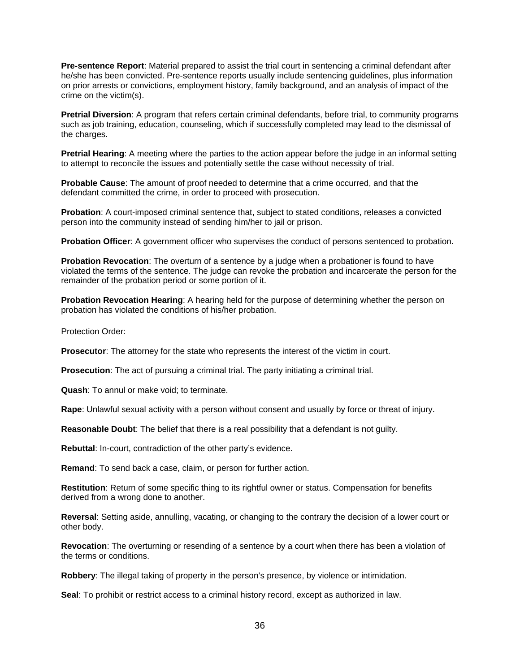**Pre-sentence Report**: Material prepared to assist the trial court in sentencing a criminal defendant after he/she has been convicted. Pre-sentence reports usually include sentencing guidelines, plus information on prior arrests or convictions, employment history, family background, and an analysis of impact of the crime on the victim(s).

**Pretrial Diversion**: A program that refers certain criminal defendants, before trial, to community programs such as job training, education, counseling, which if successfully completed may lead to the dismissal of the charges.

**Pretrial Hearing**: A meeting where the parties to the action appear before the judge in an informal setting to attempt to reconcile the issues and potentially settle the case without necessity of trial.

**Probable Cause**: The amount of proof needed to determine that a crime occurred, and that the defendant committed the crime, in order to proceed with prosecution.

**Probation**: A court-imposed criminal sentence that, subject to stated conditions, releases a convicted person into the community instead of sending him/her to jail or prison.

**Probation Officer**: A government officer who supervises the conduct of persons sentenced to probation.

**Probation Revocation**: The overturn of a sentence by a judge when a probationer is found to have violated the terms of the sentence. The judge can revoke the probation and incarcerate the person for the remainder of the probation period or some portion of it.

**Probation Revocation Hearing**: A hearing held for the purpose of determining whether the person on probation has violated the conditions of his/her probation.

Protection Order:

**Prosecutor**: The attorney for the state who represents the interest of the victim in court.

**Prosecution**: The act of pursuing a criminal trial. The party initiating a criminal trial.

**Quash**: To annul or make void; to terminate.

**Rape**: Unlawful sexual activity with a person without consent and usually by force or threat of injury.

**Reasonable Doubt**: The belief that there is a real possibility that a defendant is not guilty.

**Rebuttal**: In-court, contradiction of the other party's evidence.

**Remand**: To send back a case, claim, or person for further action.

**Restitution**: Return of some specific thing to its rightful owner or status. Compensation for benefits derived from a wrong done to another.

**Reversal**: Setting aside, annulling, vacating, or changing to the contrary the decision of a lower court or other body.

**Revocation**: The overturning or resending of a sentence by a court when there has been a violation of the terms or conditions.

**Robbery**: The illegal taking of property in the person's presence, by violence or intimidation.

**Seal**: To prohibit or restrict access to a criminal history record, except as authorized in law.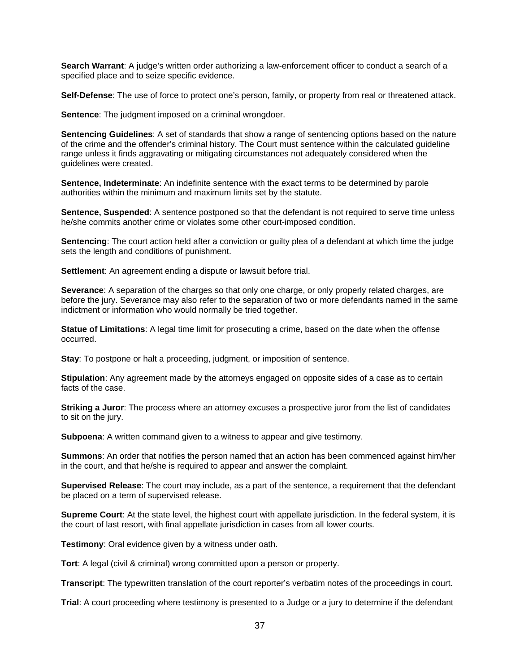**Search Warrant**: A judge's written order authorizing a law-enforcement officer to conduct a search of a specified place and to seize specific evidence.

**Self-Defense**: The use of force to protect one's person, family, or property from real or threatened attack.

**Sentence:** The judgment imposed on a criminal wrongdoer.

**Sentencing Guidelines**: A set of standards that show a range of sentencing options based on the nature of the crime and the offender's criminal history. The Court must sentence within the calculated guideline range unless it finds aggravating or mitigating circumstances not adequately considered when the guidelines were created.

**Sentence, Indeterminate**: An indefinite sentence with the exact terms to be determined by parole authorities within the minimum and maximum limits set by the statute.

**Sentence, Suspended:** A sentence postponed so that the defendant is not required to serve time unless he/she commits another crime or violates some other court-imposed condition.

**Sentencing**: The court action held after a conviction or guilty plea of a defendant at which time the judge sets the length and conditions of punishment.

**Settlement**: An agreement ending a dispute or lawsuit before trial.

**Severance**: A separation of the charges so that only one charge, or only properly related charges, are before the jury. Severance may also refer to the separation of two or more defendants named in the same indictment or information who would normally be tried together.

**Statue of Limitations**: A legal time limit for prosecuting a crime, based on the date when the offense occurred.

**Stay**: To postpone or halt a proceeding, judgment, or imposition of sentence.

**Stipulation**: Any agreement made by the attorneys engaged on opposite sides of a case as to certain facts of the case.

**Striking a Juror**: The process where an attorney excuses a prospective juror from the list of candidates to sit on the jury.

**Subpoena**: A written command given to a witness to appear and give testimony.

**Summons**: An order that notifies the person named that an action has been commenced against him/her in the court, and that he/she is required to appear and answer the complaint.

**Supervised Release**: The court may include, as a part of the sentence, a requirement that the defendant be placed on a term of supervised release.

**Supreme Court**: At the state level, the highest court with appellate jurisdiction. In the federal system, it is the court of last resort, with final appellate jurisdiction in cases from all lower courts.

**Testimony**: Oral evidence given by a witness under oath.

**Tort**: A legal (civil & criminal) wrong committed upon a person or property.

**Transcript**: The typewritten translation of the court reporter's verbatim notes of the proceedings in court.

**Trial**: A court proceeding where testimony is presented to a Judge or a jury to determine if the defendant